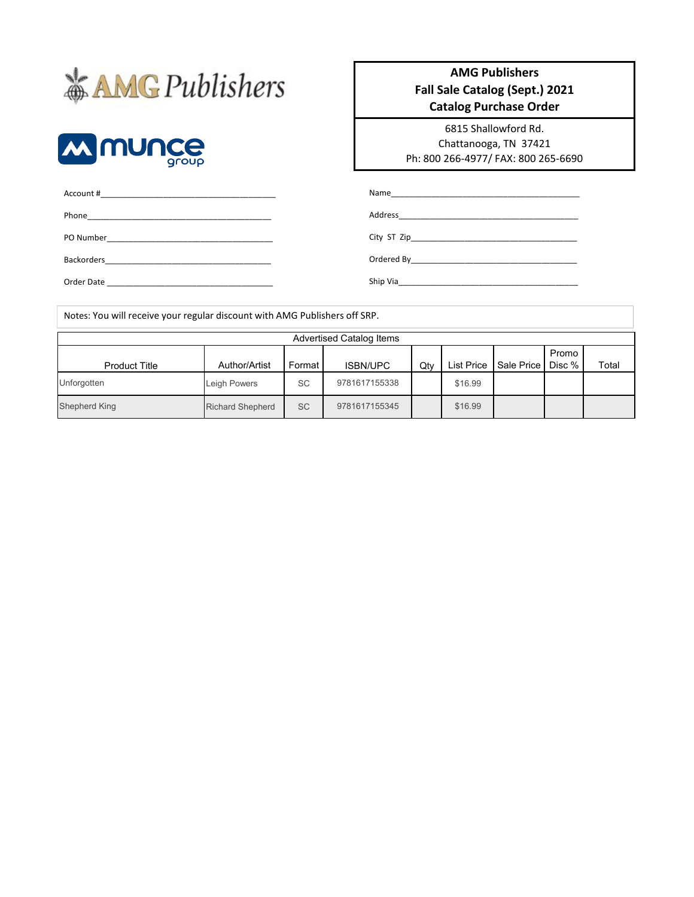# **\*AMGPublishers**



#### **AMG Publishers Fall Sale Catalog (Sept.) 2021 Catalog Purchase Order**

6815 Shallowford Rd. Chattanooga, TN 37421 Ph: 800 266-4977/ FAX: 800 265-6690

Ordered By\_\_\_\_\_\_\_\_\_\_\_\_\_\_\_\_\_\_\_\_\_\_\_\_\_\_\_\_\_\_\_\_\_\_\_\_\_ Ship Via\_\_\_\_\_\_\_\_\_\_\_\_\_\_\_\_\_\_\_\_\_\_\_\_\_\_\_\_\_\_\_\_\_\_\_\_\_\_\_\_

| Name         |
|--------------|
| Address      |
| City ST Zip_ |

PO Number\_\_\_\_\_\_\_\_\_\_\_\_\_\_\_\_\_\_\_\_\_\_\_\_\_\_\_\_\_\_\_\_\_\_\_\_\_ Backorders\_\_\_\_\_\_\_\_\_\_\_\_\_\_\_\_\_\_\_\_\_\_\_\_\_\_\_\_\_\_\_\_\_\_\_\_\_

Phone\_\_\_\_\_\_\_\_\_\_\_\_\_\_\_\_\_\_\_\_\_\_\_\_\_\_\_\_\_\_\_\_\_\_\_\_\_\_\_\_\_

Account #\_\_\_\_\_\_\_\_\_\_\_\_\_\_\_\_\_\_\_\_\_\_\_\_\_\_\_\_\_\_\_\_\_\_\_\_\_\_\_

Order Date \_\_\_\_\_\_\_\_\_\_\_\_\_\_\_\_\_\_\_\_\_\_\_\_\_\_\_\_\_\_\_\_\_\_\_\_\_

| Notes: You will receive your regular discount with AMG Publishers off SRP. |                         |           |                                 |     |                   |            |                 |       |
|----------------------------------------------------------------------------|-------------------------|-----------|---------------------------------|-----|-------------------|------------|-----------------|-------|
|                                                                            |                         |           | <b>Advertised Catalog Items</b> |     |                   |            |                 |       |
| <b>Product Title</b>                                                       | Author/Artist           | Format    | <b>ISBN/UPC</b>                 | Qty | <b>List Price</b> | Sale Price | Promo<br>Disc % | Total |
| Unforgotten                                                                | Leigh Powers            | <b>SC</b> | 9781617155338                   |     | \$16.99           |            |                 |       |
| Shepherd King                                                              | <b>Richard Shepherd</b> | <b>SC</b> | 9781617155345                   |     | \$16.99           |            |                 |       |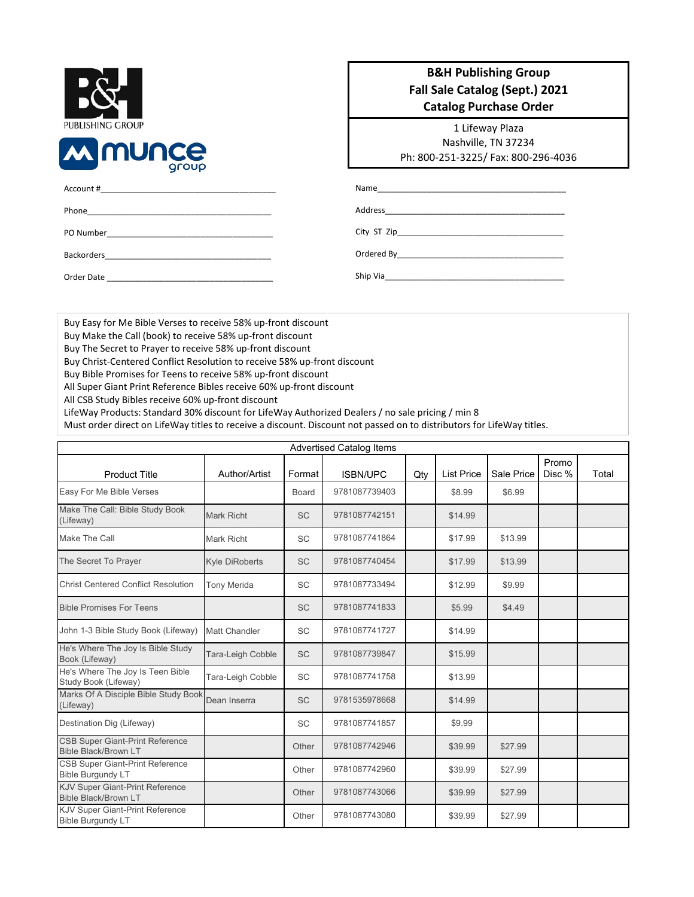| PUBLISHING GROUP |       |
|------------------|-------|
| <b>MIMUNCE</b>   | group |
| Account #        |       |

#### **B&H Publishing Group Fall Sale Catalog (Sept.) 2021 Catalog Purchase Order**

1 Lifeway Plaza Nashville, TN 37234 Ph: 800-251-3225/ Fax: 800-296-4036

| Account #                                                                                                                                                                                                                              | Name <u>__________________________________</u>                                                          |
|----------------------------------------------------------------------------------------------------------------------------------------------------------------------------------------------------------------------------------------|---------------------------------------------------------------------------------------------------------|
|                                                                                                                                                                                                                                        |                                                                                                         |
| Phone<br>the control of the control of the control of the control of the control of the control of the control of the control of the control of the control of the control of the control of the control of the control of the control | Address                                                                                                 |
| PO Number                                                                                                                                                                                                                              |                                                                                                         |
|                                                                                                                                                                                                                                        |                                                                                                         |
| <b>Backorders</b>                                                                                                                                                                                                                      | Ordered By<br>the control of the control of the control of the control of the control of the control of |

Ship Via

Order Date

Buy Easy for Me Bible Verses to receive 58% up-front discount

Buy Make the Call (book) to receive 58% up-front discount

Buy The Secret to Prayer to receive 58% up-front discount

Buy Christ-Centered Conflict Resolution to receive 58% up-front discount

Buy Bible Promises for Teens to receive 58% up-front discount

All Super Giant Print Reference Bibles receive 60% up-front discount

All CSB Study Bibles receive 60% up-front discount

LifeWay Products: Standard 30% discount for LifeWay Authorized Dealers / no sale pricing / min 8

Must order direct on LifeWay titles to receive a discount. Discount not passed on to distributors for LifeWay titles.

|                                                                       |                       |           | <b>Advertised Catalog Items</b> |     |                   |            |                 |       |
|-----------------------------------------------------------------------|-----------------------|-----------|---------------------------------|-----|-------------------|------------|-----------------|-------|
| <b>Product Title</b>                                                  | Author/Artist         | Format    | <b>ISBN/UPC</b>                 | Qty | <b>List Price</b> | Sale Price | Promo<br>Disc % | Total |
| Easy For Me Bible Verses                                              |                       | Board     | 9781087739403                   |     | \$8.99            | \$6.99     |                 |       |
| Make The Call: Bible Study Book<br>(Lifeway)                          | Mark Richt            | <b>SC</b> | 9781087742151                   |     | \$14.99           |            |                 |       |
| Make The Call                                                         | <b>Mark Richt</b>     | <b>SC</b> | 9781087741864                   |     | \$17.99           | \$13.99    |                 |       |
| The Secret To Prayer                                                  | <b>Kyle DiRoberts</b> | <b>SC</b> | 9781087740454                   |     | \$17.99           | \$13.99    |                 |       |
| <b>Christ Centered Conflict Resolution</b>                            | <b>Tony Merida</b>    | <b>SC</b> | 9781087733494                   |     | \$12.99           | \$9.99     |                 |       |
| <b>Bible Promises For Teens</b>                                       |                       | <b>SC</b> | 9781087741833                   |     | \$5.99            | \$4.49     |                 |       |
| John 1-3 Bible Study Book (Lifeway)                                   | Matt Chandler         | <b>SC</b> | 9781087741727                   |     | \$14.99           |            |                 |       |
| He's Where The Joy Is Bible Study<br>Book (Lifeway)                   | Tara-Leigh Cobble     | <b>SC</b> | 9781087739847                   |     | \$15.99           |            |                 |       |
| He's Where The Joy Is Teen Bible<br>Study Book (Lifeway)              | Tara-Leigh Cobble     | <b>SC</b> | 9781087741758                   |     | \$13.99           |            |                 |       |
| Marks Of A Disciple Bible Study Book<br>(Lifeway)                     | Dean Inserra          | <b>SC</b> | 9781535978668                   |     | \$14.99           |            |                 |       |
| Destination Dig (Lifeway)                                             |                       | <b>SC</b> | 9781087741857                   |     | \$9.99            |            |                 |       |
| <b>CSB Super Giant-Print Reference</b><br><b>Bible Black/Brown LT</b> |                       | Other     | 9781087742946                   |     | \$39.99           | \$27.99    |                 |       |
| <b>CSB Super Giant-Print Reference</b><br><b>Bible Burgundy LT</b>    |                       | Other     | 9781087742960                   |     | \$39.99           | \$27.99    |                 |       |
| <b>KJV Super Giant-Print Reference</b><br><b>Bible Black/Brown LT</b> |                       | Other     | 9781087743066                   |     | \$39.99           | \$27.99    |                 |       |
| KJV Super Giant-Print Reference<br><b>Bible Burgundy LT</b>           |                       | Other     | 9781087743080                   |     | \$39.99           | \$27.99    |                 |       |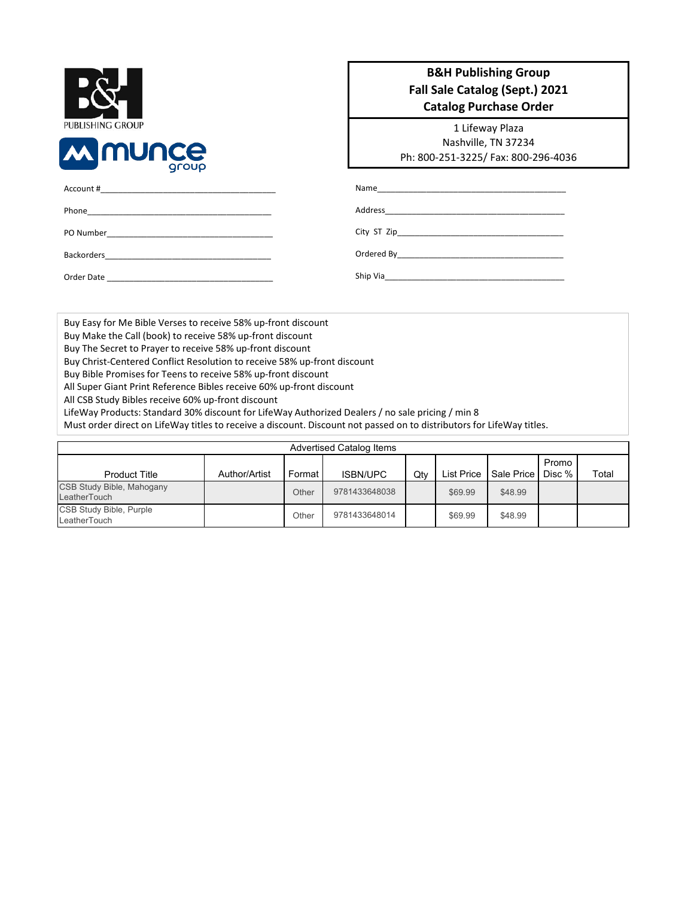| <b>PUBLISHING GROUP</b> |       |
|-------------------------|-------|
| <b>MINUNCE</b>          | group |
| Account #               |       |

#### **B&H Publishing Group Fall Sale Catalog (Sept.) 2021 Catalog Purchase Order**

1 Lifeway Plaza Nashville, TN 37234 Ph: 800-251-3225/ Fax: 800-296-4036

Ship Via

Backorders\_ Order Date

Phone\_\_\_\_\_\_\_\_\_\_\_\_\_\_\_\_\_\_\_\_\_\_\_\_\_\_\_\_\_\_\_\_\_\_\_\_\_\_\_\_\_ PO Number\_\_\_\_

Buy Easy for Me Bible Verses to receive 58% up-front discount

Buy Make the Call (book) to receive 58% up-front discount

Buy The Secret to Prayer to receive 58% up-front discount

Buy Christ-Centered Conflict Resolution to receive 58% up-front discount

Buy Bible Promises for Teens to receive 58% up-front discount

All Super Giant Print Reference Bibles receive 60% up-front discount

All CSB Study Bibles receive 60% up-front discount

LifeWay Products: Standard 30% discount for LifeWay Authorized Dealers / no sale pricing / min 8

Must order direct on LifeWay titles to receive a discount. Discount not passed on to distributors for LifeWay titles.

|                                           |               |        | <b>Advertised Catalog Items</b> |     |            |            |                 |       |
|-------------------------------------------|---------------|--------|---------------------------------|-----|------------|------------|-----------------|-------|
| <b>Product Title</b>                      | Author/Artist | Format | <b>ISBN/UPC</b>                 | Qtv | List Price | Sale Price | Promo<br>Disc % | Total |
| CSB Study Bible, Mahogany<br>LeatherTouch |               | Other  | 9781433648038                   |     | \$69.99    | \$48.99    |                 |       |
| CSB Study Bible, Purple<br>LeatherTouch   |               | Other  | 9781433648014                   |     | \$69.99    | \$48.99    |                 |       |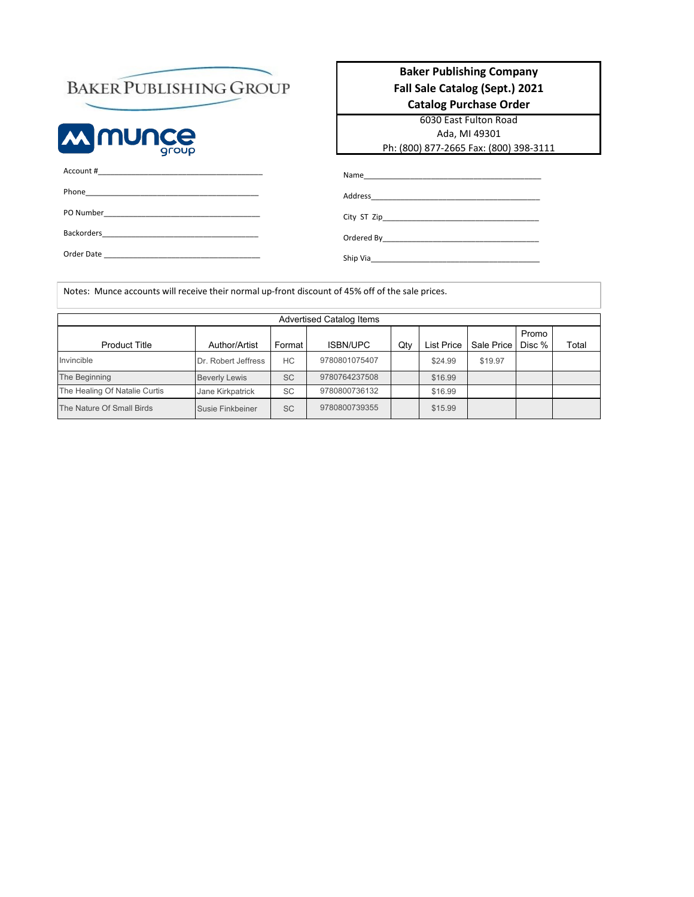## **BAKER PUBLISHING GROUP**



#### **Baker Publishing Company Fall Sale Catalog (Sept.) 2021 Catalog Purchase Order**

6030 East Fulton Road Ada, MI 49301 Ph: (800) 877-2665 Fax: (800) 398-3111

| Backorders Participation and Participation and Participation and Participation and Participation and Participation and Participation and Participation and Participation and Participation and Participation and Participation |  |
|--------------------------------------------------------------------------------------------------------------------------------------------------------------------------------------------------------------------------------|--|
| Order Date                                                                                                                                                                                                                     |  |

| Name<br>the control of the control of the control of the control of the control of the control of |  |
|---------------------------------------------------------------------------------------------------|--|
| Address                                                                                           |  |
|                                                                                                   |  |
| Ordered By                                                                                        |  |

Ship Via\_\_\_\_\_\_\_\_\_\_\_\_\_\_\_\_\_\_\_\_\_\_\_\_\_\_\_\_\_\_\_\_\_\_\_\_\_\_\_\_

Notes: Munce accounts will receive their normal up-front discount of 45% off of the sale prices.

|                               |                      |           | <b>Advertised Catalog Items</b> |     |                   |            |                 |       |
|-------------------------------|----------------------|-----------|---------------------------------|-----|-------------------|------------|-----------------|-------|
| <b>Product Title</b>          | Author/Artist        | Format    | <b>ISBN/UPC</b>                 | Qty | <b>List Price</b> | Sale Price | Promo<br>Disc % | Total |
| Invincible                    | Dr. Robert Jeffress  | HC        | 9780801075407                   |     | \$24.99           | \$19.97    |                 |       |
| The Beginning                 | <b>Beverly Lewis</b> | <b>SC</b> | 9780764237508                   |     | \$16.99           |            |                 |       |
| The Healing Of Natalie Curtis | Jane Kirkpatrick     | <b>SC</b> | 9780800736132                   |     | \$16.99           |            |                 |       |
| The Nature Of Small Birds     | Susie Finkbeiner     | <b>SC</b> | 9780800739355                   |     | \$15.99           |            |                 |       |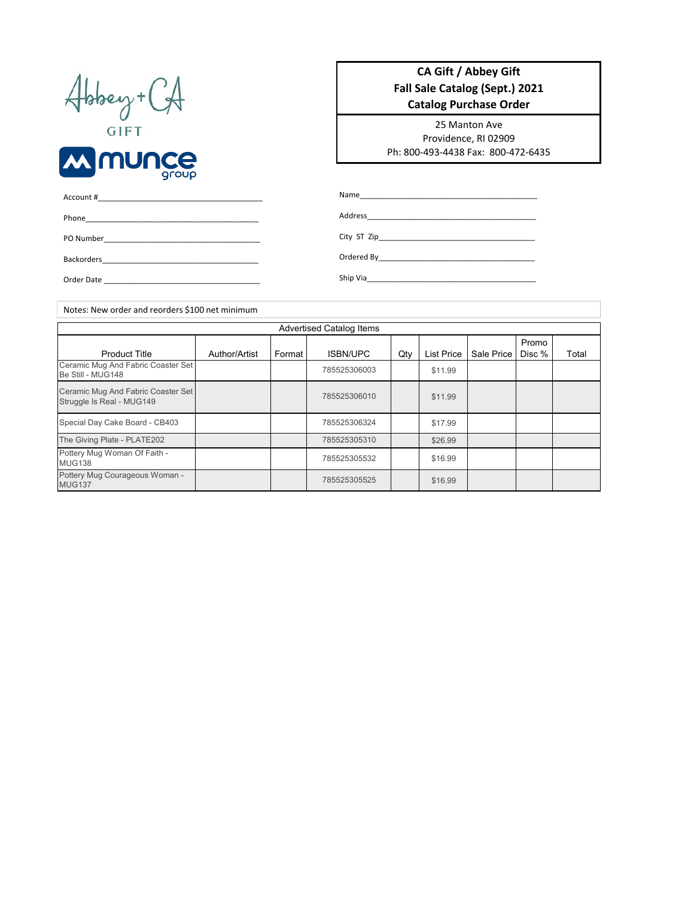| Hobey+<br>$\sqrt{ }$ |
|----------------------|
|                      |



#### **CA Gift / Abbey Gift Fall Sale Catalog (Sept.) 2021 Catalog Purchase Order**

25 Manton Ave Providence, RI 02909 Ph: 800-493-4438 Fax: 800-472-6435

| Account #<br><u> 1980 - Jan Barnett, mars andre skrivet i den større og en større og en som andre skrivet og en som andre skri</u> |                                                          |
|------------------------------------------------------------------------------------------------------------------------------------|----------------------------------------------------------|
| Phone<br>the control of the control of the control of the control of the control of the control of                                 | Address<br><u> 1980 - Andrea Andrew Maria (h. 1980).</u> |
| PO Number                                                                                                                          |                                                          |
| <b>Backorders</b>                                                                                                                  |                                                          |
| Order Date<br>the control of the control of the control of the control of the control of                                           | Ship Via                                                 |

Author/Artist | Format | ISBN/UPC | Qty | List Price | Sale Price Promo Disc % Total \$11.99 \$11.99 \$17.99 \$26.99 \$16.99 \$16.99 Advertised Catalog Items Product Title | Author/Artist | Format | ISBN/UPC | Qty Ceramic Mug And Fabric Coaster Set Ceramic Mug And Pablic Coaster Set<br>Be Still - MUG148 Ceramic Mug And Fabric Coaster Set Ceramic Mug And Fabric Coaster Set<br>Struggle Is Real - MUG149 Special Day Cake Board - CB403 785525306324 Pottery Mug Courageous Woman - MUG137 <sup>785525305525</sup> The Giving Plate - PLATE202 785525305310 Pottery Mug Woman Of Faith - Policy mag woman of Failupping and the control of the control of the control of the control of the control of the control of the control of the control of the control of the control of the control of the control of the con Notes: New order and reorders \$100 net minimum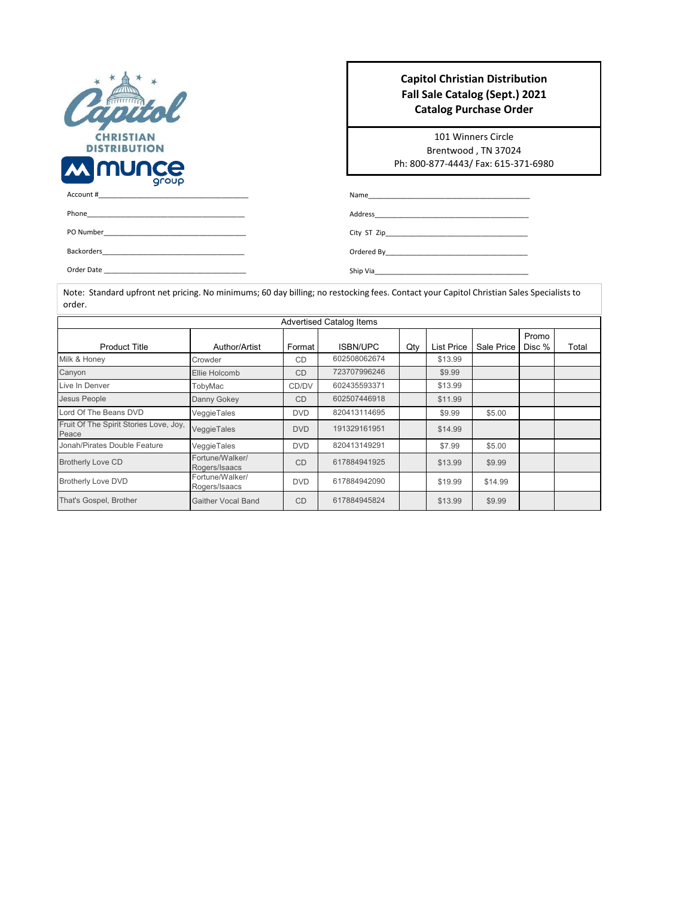| <b>CHRISTIAN</b><br><b>DISTRIBUTION</b> |
|-----------------------------------------|
| <b>M MUNCE</b><br>Account#              |

#### **Capitol Christian Distribution Fall Sale Catalog (Sept.) 2021 Catalog Purchase Order**

101 Winners Circle Brentwood , TN 37024 Ph: 800-877-4443/ Fax: 615-371-6980

| Account#          |  |
|-------------------|--|
| Phone             |  |
| PO Number         |  |
| <b>Backorders</b> |  |

City ST Zip\_\_\_\_\_\_\_\_\_\_\_\_\_\_\_\_\_\_\_\_\_\_\_\_\_\_\_\_\_\_\_\_\_\_\_\_\_

Ordered By\_\_\_\_\_\_\_\_\_\_\_\_\_\_\_\_\_\_\_\_\_\_\_\_\_\_\_\_\_\_\_\_\_\_\_\_\_

 $Name_$ Address\_

Ship Via\_\_\_\_\_\_\_\_\_\_\_\_\_\_\_\_\_\_\_\_\_\_\_\_\_\_\_\_\_\_\_\_\_\_\_\_\_\_\_\_

Order Date

Note: Standard upfront net pricing. No minimums; 60 day billing; no restocking fees. Contact your Capitol Christian Sales Specialists to order.

| <b>Advertised Catalog Items</b>                 |                                  |            |                 |     |            |            |                 |       |
|-------------------------------------------------|----------------------------------|------------|-----------------|-----|------------|------------|-----------------|-------|
| <b>Product Title</b>                            | Author/Artist                    | Format     | <b>ISBN/UPC</b> | Qty | List Price | Sale Price | Promo<br>Disc % | Total |
| Milk & Honey                                    | Crowder                          | <b>CD</b>  | 602508062674    |     | \$13.99    |            |                 |       |
| Canyon                                          | Ellie Holcomb                    | <b>CD</b>  | 723707996246    |     | \$9.99     |            |                 |       |
| Live In Denver                                  | TobyMac                          | CD/DV      | 602435593371    |     | \$13.99    |            |                 |       |
| Jesus People                                    | Danny Gokey                      | <b>CD</b>  | 602507446918    |     | \$11.99    |            |                 |       |
| Lord Of The Beans DVD                           | VeggieTales                      | <b>DVD</b> | 820413114695    |     | \$9.99     | \$5.00     |                 |       |
| Fruit Of The Spirit Stories Love, Joy,<br>Peace | VeggieTales                      | <b>DVD</b> | 191329161951    |     | \$14.99    |            |                 |       |
| Jonah/Pirates Double Feature                    | VeggieTales                      | <b>DVD</b> | 820413149291    |     | \$7.99     | \$5.00     |                 |       |
| <b>Brotherly Love CD</b>                        | Fortune/Walker/<br>Rogers/Isaacs | <b>CD</b>  | 617884941925    |     | \$13.99    | \$9.99     |                 |       |
| <b>Brotherly Love DVD</b>                       | Fortune/Walker/<br>Rogers/Isaacs | <b>DVD</b> | 617884942090    |     | \$19.99    | \$14.99    |                 |       |
| That's Gospel, Brother                          | <b>Gaither Vocal Band</b>        | <b>CD</b>  | 617884945824    |     | \$13.99    | \$9.99     |                 |       |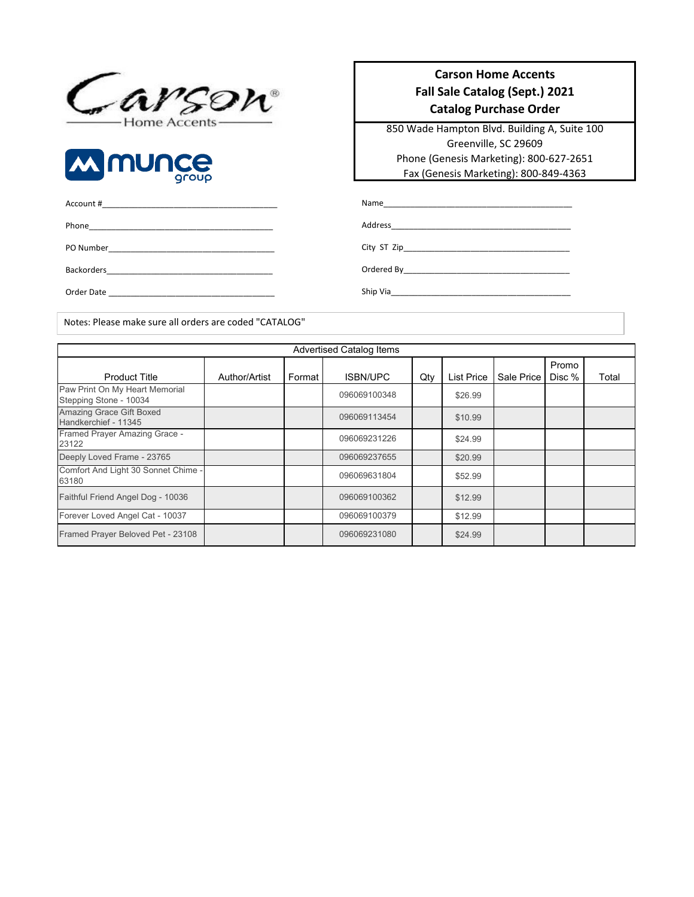



## Account #\_\_\_\_\_\_\_\_\_\_\_\_\_\_\_\_\_\_\_\_\_\_\_\_\_\_\_\_\_\_\_\_\_\_\_\_\_\_\_ Phone\_\_\_\_\_\_\_\_\_\_\_\_\_\_\_\_\_\_\_\_\_\_\_\_\_\_\_\_\_\_\_\_\_\_\_\_\_\_\_\_\_ PO Number\_\_\_\_\_\_\_\_\_\_\_\_\_\_\_\_\_\_\_\_\_\_\_\_\_\_\_\_\_\_\_\_\_\_\_\_\_ Backorders\_\_\_\_\_\_\_\_\_\_\_\_\_\_\_\_\_\_\_\_\_\_\_\_\_\_\_\_\_\_\_\_\_\_\_\_\_ Order Date \_\_\_\_\_\_\_\_\_\_\_\_\_\_\_\_\_\_\_\_\_\_\_\_\_\_\_\_\_\_\_\_\_\_\_\_\_

#### **Carson Home Accents Fall Sale Catalog (Sept.) 2021 Catalog Purchase Order**

850 Wade Hampton Blvd. Building A, Suite 100 Greenville, SC 29609 Phone (Genesis Marketing): 800-627-2651 Fax (Genesis Marketing): 800-849-4363

Name\_\_\_\_\_\_\_\_\_\_\_\_\_\_\_\_\_\_\_\_\_\_\_\_\_\_\_\_\_\_\_\_\_\_\_\_\_\_\_\_\_\_

Address\_\_\_\_\_\_\_\_\_\_\_\_\_\_\_\_\_\_\_\_\_\_\_\_\_\_\_\_\_\_\_\_\_\_\_\_\_\_\_\_

City ST Zip\_\_\_\_\_\_\_\_\_\_\_\_\_\_\_\_\_\_\_\_\_\_\_\_\_\_\_\_\_\_\_\_\_\_\_\_\_

Ordered By\_\_\_\_\_\_\_\_\_\_\_\_\_\_\_\_\_\_\_\_\_\_\_\_\_\_\_\_\_\_\_\_\_\_\_\_\_

Ship Via\_\_\_\_\_\_\_\_\_\_\_\_\_\_\_\_\_\_\_\_\_\_\_\_\_\_\_\_\_\_\_\_\_\_\_\_\_\_\_\_

Notes: Please make sure all orders are coded "CATALOG"

|                                                          | <b>Advertised Catalog Items</b> |        |                 |     |                   |            |                 |       |
|----------------------------------------------------------|---------------------------------|--------|-----------------|-----|-------------------|------------|-----------------|-------|
| <b>Product Title</b>                                     | Author/Artist                   | Format | <b>ISBN/UPC</b> | Qty | <b>List Price</b> | Sale Price | Promo<br>Disc % | Total |
| Paw Print On My Heart Memorial<br>Stepping Stone - 10034 |                                 |        | 096069100348    |     | \$26.99           |            |                 |       |
| <b>Amazing Grace Gift Boxed</b><br>Handkerchief - 11345  |                                 |        | 096069113454    |     | \$10.99           |            |                 |       |
| Framed Prayer Amazing Grace -<br>23122                   |                                 |        | 096069231226    |     | \$24.99           |            |                 |       |
| Deeply Loved Frame - 23765                               |                                 |        | 096069237655    |     | \$20.99           |            |                 |       |
| Comfort And Light 30 Sonnet Chime -<br>63180             |                                 |        | 096069631804    |     | \$52.99           |            |                 |       |
| Faithful Friend Angel Dog - 10036                        |                                 |        | 096069100362    |     | \$12.99           |            |                 |       |
| Forever Loved Angel Cat - 10037                          |                                 |        | 096069100379    |     | \$12.99           |            |                 |       |
| Framed Prayer Beloved Pet - 23108                        |                                 |        | 096069231080    |     | \$24.99           |            |                 |       |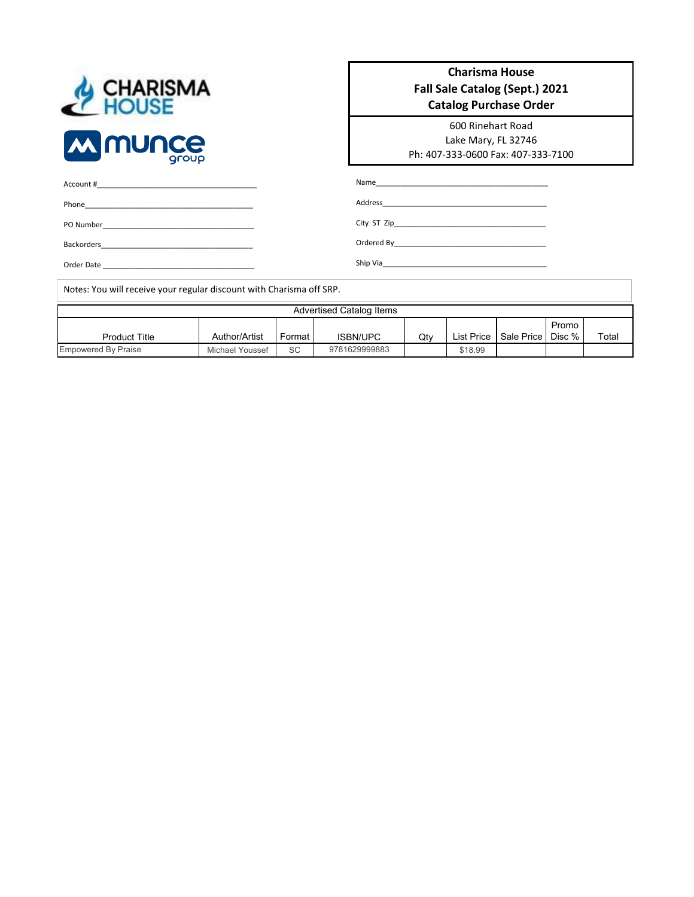| CHARISMA       |       |
|----------------|-------|
| <b>MMMUNCE</b> | aroup |

#### **Charisma House Fall Sale Catalog (Sept.) 2021 Catalog Purchase Order**

600 Rinehart Road Lake Mary, FL 32746 Ph: 407-333-0600 Fax: 407-333-7100

City ST Zip\_\_\_\_\_\_\_\_\_\_\_\_\_\_\_\_\_\_\_\_\_\_\_\_\_\_\_\_\_\_\_\_\_\_\_\_\_ Ordered By\_\_\_\_\_\_\_\_\_\_\_\_\_\_\_\_\_\_\_\_\_\_\_\_\_\_\_\_\_\_\_\_\_\_\_\_\_ Ship Via\_\_\_\_\_\_\_\_\_\_\_\_\_\_\_\_\_\_\_\_\_\_\_\_\_\_\_\_\_\_\_\_\_\_\_\_\_\_\_\_

| Account # |  |  |  |
|-----------|--|--|--|
|           |  |  |  |
| Phone     |  |  |  |
|           |  |  |  |

PO Number\_\_\_\_\_\_\_\_\_\_\_\_\_\_\_\_\_\_\_\_\_\_\_\_\_\_\_\_\_\_\_\_\_\_\_\_\_

Backorders\_\_\_\_\_\_\_\_\_\_\_\_\_\_\_\_\_\_\_\_\_\_\_\_\_\_\_\_\_\_\_\_\_\_\_\_\_

Order Date \_\_\_\_\_\_\_\_\_\_\_\_\_\_\_\_\_\_\_\_\_\_\_\_\_\_\_\_\_\_\_\_\_\_\_\_\_

Notes: You will receive your regular discount with Charisma off SRP.

| Advertised Catalog Items   |                 |        |                 |     |            |                     |       |       |
|----------------------------|-----------------|--------|-----------------|-----|------------|---------------------|-------|-------|
| <b>Product Title</b>       | Author/Artist   | Format | <b>ISBN/UPC</b> | Qty | List Price | Sale Price   Disc % | Promo | Total |
| <b>Empowered By Praise</b> | Michael Youssef | SC     | 9781629999883   |     | \$18.99    |                     |       |       |

Name\_ Address\_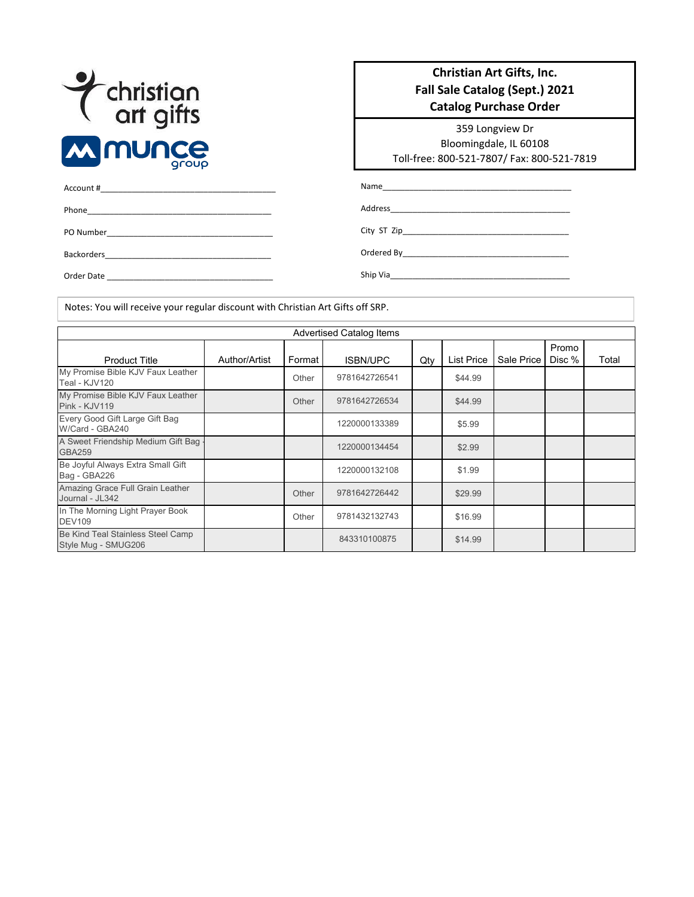

Phone\_\_\_\_\_\_\_\_\_\_\_\_\_\_\_\_\_\_\_\_\_\_\_\_\_\_\_\_\_\_\_\_\_\_\_\_\_\_\_\_\_

Backorders\_\_\_\_\_\_\_\_\_\_\_\_\_\_\_\_\_\_\_\_\_\_\_\_\_\_\_\_\_\_\_\_\_\_\_\_\_

PO Number\_\_\_\_\_\_\_\_\_\_\_\_\_\_\_\_\_\_\_\_\_\_\_\_\_\_\_\_\_\_\_\_\_\_\_\_\_

#### **Christian Art Gifts, Inc. Fall Sale Catalog (Sept.) 2021 Catalog Purchase Order**

359 Longview Dr Bloomingdale, IL 60108 Toll-free: 800-521-7807/ Fax: 800-521-7819

Name\_

Address\_\_\_\_\_\_\_\_\_\_\_\_\_\_\_\_\_\_\_\_\_\_\_\_\_\_\_\_\_\_\_\_\_\_\_\_\_\_\_\_

City ST Zip\_\_\_\_\_\_\_\_\_\_\_\_\_\_\_\_\_\_\_\_\_\_\_\_\_\_\_\_\_\_\_\_\_\_\_\_\_

Ordered By\_\_\_\_\_\_\_\_\_\_\_\_\_\_\_\_\_\_\_\_\_\_\_\_\_\_\_\_\_\_\_\_\_\_\_\_\_

Order Date \_\_\_\_\_\_\_\_\_\_\_\_\_\_\_\_\_\_\_\_\_\_\_\_\_\_\_\_\_\_\_\_\_\_\_\_\_

Account #\_\_\_\_\_\_\_\_\_\_\_\_\_\_\_\_\_\_\_\_\_\_\_\_\_\_\_\_\_\_\_\_\_\_\_\_\_\_\_

Ship Via\_\_\_\_\_\_\_\_\_\_\_\_\_\_\_\_\_\_\_\_\_\_\_\_\_\_\_\_\_\_\_\_\_\_\_\_\_\_\_\_

Notes: You will receive your regular discount with Christian Art Gifts off SRP.

| <b>Advertised Catalog Items</b>                          |               |        |                 |     |                   |            |                 |       |
|----------------------------------------------------------|---------------|--------|-----------------|-----|-------------------|------------|-----------------|-------|
| <b>Product Title</b>                                     | Author/Artist | Format | <b>ISBN/UPC</b> | Qty | <b>List Price</b> | Sale Price | Promo<br>Disc % | Total |
| My Promise Bible KJV Faux Leather<br>Teal - KJV120       |               | Other  | 9781642726541   |     | \$44.99           |            |                 |       |
| My Promise Bible KJV Faux Leather<br>Pink - KJV119       |               | Other  | 9781642726534   |     | \$44.99           |            |                 |       |
| Every Good Gift Large Gift Bag<br>W/Card - GBA240        |               |        | 1220000133389   |     | \$5.99            |            |                 |       |
| A Sweet Friendship Medium Gift Bag<br><b>GBA259</b>      |               |        | 1220000134454   |     | \$2.99            |            |                 |       |
| Be Joyful Always Extra Small Gift<br>Bag - GBA226        |               |        | 1220000132108   |     | \$1.99            |            |                 |       |
| Amazing Grace Full Grain Leather<br>Journal - JL342      |               | Other  | 9781642726442   |     | \$29.99           |            |                 |       |
| In The Morning Light Prayer Book<br><b>DEV109</b>        |               | Other  | 9781432132743   |     | \$16.99           |            |                 |       |
| Be Kind Teal Stainless Steel Camp<br>Style Mug - SMUG206 |               |        | 843310100875    |     | \$14.99           |            |                 |       |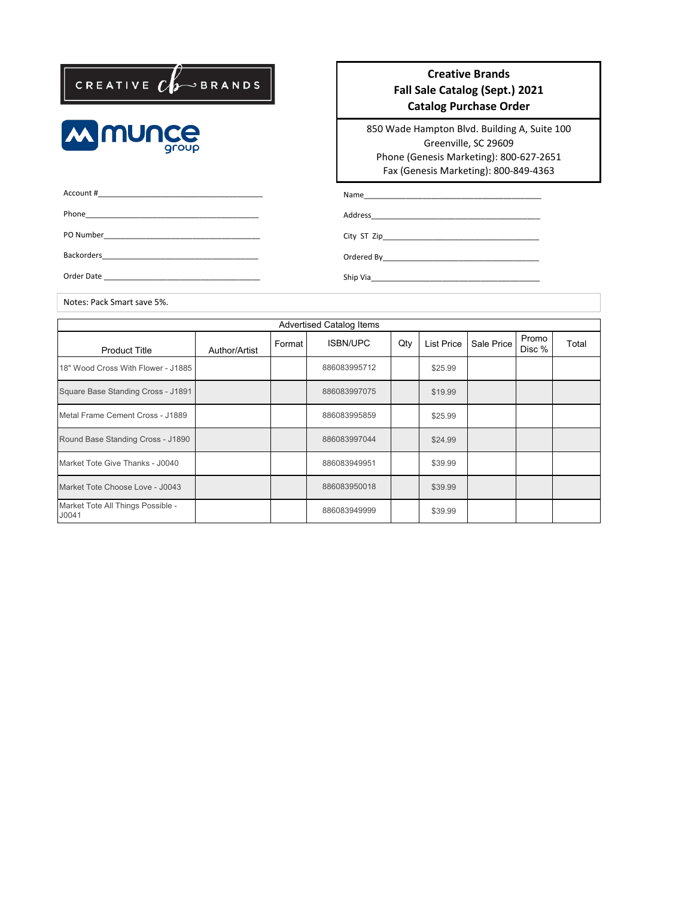



#### **Creative Brands Fall Sale Catalog (Sept.) 2021 Catalog Purchase Order**

850 Wade Hampton Blvd. Building A, Suite 100 Greenville, SC 29609 Phone (Genesis Marketing): 800-627-2651 Fax (Genesis Marketing): 800-849-4363

Account #\_\_\_\_\_\_\_\_\_\_\_\_\_\_\_\_\_\_\_\_\_\_\_\_\_\_\_\_\_\_\_\_\_\_\_\_\_\_\_ Phone\_\_\_\_\_\_\_\_\_\_\_\_\_\_\_\_\_\_\_\_\_\_\_\_\_\_\_\_\_\_\_\_\_\_\_\_\_\_\_\_\_ PO Number\_\_\_\_\_\_\_\_\_\_\_\_\_\_\_\_\_\_\_\_\_\_\_\_\_\_\_\_\_\_\_\_\_\_\_\_\_ Backorders\_\_\_\_\_\_\_\_\_\_\_\_\_\_\_\_\_\_\_\_\_\_\_\_\_\_\_\_\_\_\_\_\_\_\_\_\_ Order Date

Name\_

Address\_\_\_\_\_\_\_\_\_\_\_\_\_\_\_\_\_\_\_\_\_\_\_\_\_\_\_\_\_\_\_\_\_\_\_\_\_\_\_\_

City ST Zip\_\_\_\_\_\_\_\_\_\_\_\_\_\_\_\_\_\_\_\_\_\_\_\_\_\_\_\_\_\_\_\_\_\_\_\_\_

Ordered By\_\_\_\_\_\_\_\_\_\_\_\_\_\_\_\_\_\_\_\_\_\_\_\_\_\_\_\_\_\_\_\_\_\_\_\_\_

Ship Via\_\_\_\_\_\_\_\_\_\_\_\_\_\_\_\_\_\_\_\_\_\_\_\_\_\_\_\_\_\_\_\_\_\_\_\_\_\_\_\_

Notes: Pack Smart save 5%.

| <b>Advertised Catalog Items</b>            |               |        |                 |     |            |            |                 |       |
|--------------------------------------------|---------------|--------|-----------------|-----|------------|------------|-----------------|-------|
| <b>Product Title</b>                       | Author/Artist | Format | <b>ISBN/UPC</b> | Qty | List Price | Sale Price | Promo<br>Disc % | Total |
| 18" Wood Cross With Flower - J1885         |               |        | 886083995712    |     | \$25.99    |            |                 |       |
| Square Base Standing Cross - J1891         |               |        | 886083997075    |     | \$19.99    |            |                 |       |
| Metal Frame Cement Cross - J1889           |               |        | 886083995859    |     | \$25.99    |            |                 |       |
| Round Base Standing Cross - J1890          |               |        | 886083997044    |     | \$24.99    |            |                 |       |
| Market Tote Give Thanks - J0040            |               |        | 886083949951    |     | \$39.99    |            |                 |       |
| Market Tote Choose Love - J0043            |               |        | 886083950018    |     | \$39.99    |            |                 |       |
| Market Tote All Things Possible -<br>J0041 |               |        | 886083949999    |     | \$39.99    |            |                 |       |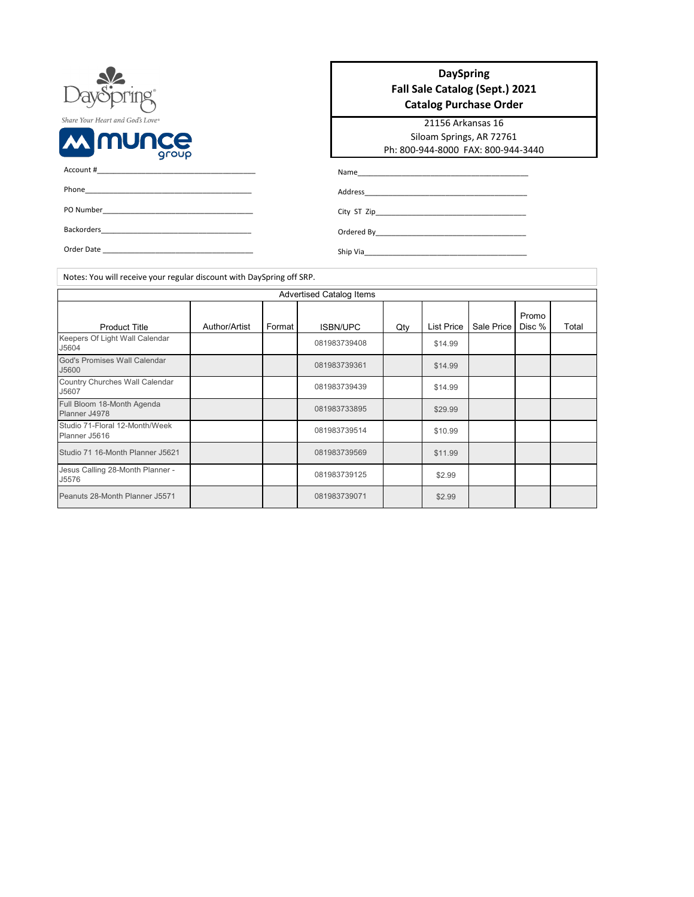| DaySpring®                       |
|----------------------------------|
| Share Your Heart and God's Love® |
| <b>W WOULCE</b>                  |
| Account #                        |
| Phone                            |

| <b>DaySpring</b>               |
|--------------------------------|
| Fall Sale Catalog (Sept.) 2021 |
| <b>Catalog Purchase Order</b>  |

21156 Arkansas 16 Siloam Springs, AR 72761 Ph: 800-944-8000 FAX: 800-944-3440

| PO Number |  |  |  |
|-----------|--|--|--|
|           |  |  |  |

Order Date

Backorders\_\_\_

Ordered By\_\_\_\_\_\_\_\_\_\_\_\_\_\_\_\_\_\_\_\_\_\_\_\_\_\_\_\_\_\_\_\_\_\_\_\_\_ Ship Via\_\_\_\_\_\_\_\_\_\_\_\_\_\_\_\_\_\_\_\_\_\_\_\_\_\_\_\_\_\_\_\_\_\_\_\_\_\_\_\_

Name\_\_\_\_\_\_\_\_\_\_\_\_\_\_\_\_\_\_\_\_\_\_\_\_\_\_\_\_\_\_\_\_\_\_\_\_\_\_\_\_\_\_ Address\_\_\_\_\_\_\_\_\_\_\_\_\_\_\_\_\_\_\_\_\_\_\_\_\_\_\_\_\_\_\_\_\_\_\_\_\_\_\_\_

City ST Zip\_\_\_\_\_\_\_\_\_\_\_\_\_\_\_\_\_\_\_\_\_\_\_\_\_\_\_\_\_\_\_\_\_\_\_\_\_

Notes: You will receive your regular discount with DaySpring off SRP.

|                                                 |               |        | <b>Advertised Catalog Items</b> |     |                   |            |                 |       |
|-------------------------------------------------|---------------|--------|---------------------------------|-----|-------------------|------------|-----------------|-------|
| <b>Product Title</b>                            | Author/Artist | Format | <b>ISBN/UPC</b>                 | Qty | <b>List Price</b> | Sale Price | Promo<br>Disc % | Total |
| Keepers Of Light Wall Calendar<br>J5604         |               |        | 081983739408                    |     | \$14.99           |            |                 |       |
| God's Promises Wall Calendar<br>J5600           |               |        | 081983739361                    |     | \$14.99           |            |                 |       |
| Country Churches Wall Calendar<br>J5607         |               |        | 081983739439                    |     | \$14.99           |            |                 |       |
| Full Bloom 18-Month Agenda<br>Planner J4978     |               |        | 081983733895                    |     | \$29.99           |            |                 |       |
| Studio 71-Floral 12-Month/Week<br>Planner J5616 |               |        | 081983739514                    |     | \$10.99           |            |                 |       |
| Studio 71 16-Month Planner J5621                |               |        | 081983739569                    |     | \$11.99           |            |                 |       |
| Jesus Calling 28-Month Planner -<br>J5576       |               |        | 081983739125                    |     | \$2.99            |            |                 |       |
| Peanuts 28-Month Planner J5571                  |               |        | 081983739071                    |     | \$2.99            |            |                 |       |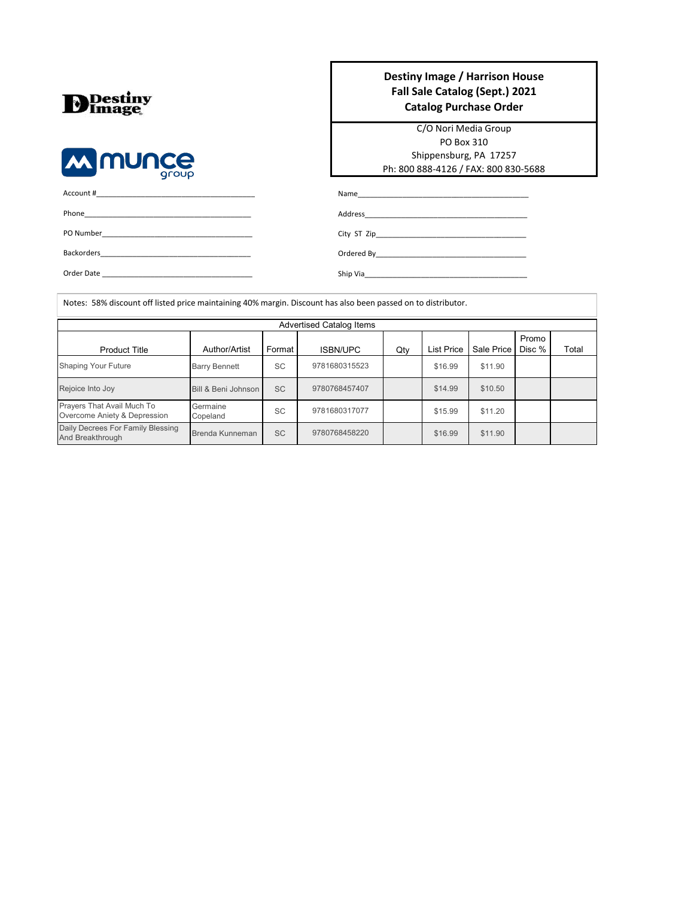| <b>D</b> Image |
|----------------|
|                |

Prayers That Avail Much To Overcome Aniety & Depression Daily Decrees For Family Blessing

And Breakthrough



| Order Date |  |  |
|------------|--|--|

Germaine<br>Copeland

#### **Destiny Image / Harrison House Fall Sale Catalog (Sept.) 2021 Catalog Purchase Order**

C/O Nori Media Group PO Box 310 Shippensburg, PA 17257 Ph: 800 888-4126 / FAX: 800 830-5688

Total

Name\_

Address\_

City ST Zip\_

Ordered By\_ Ship Via\_

Copeland SC 9781680317077 \$15.99 \$11.20 Brenda Kunneman SC 9780768458220 | \$16.99 \$11.90

9780768458220

| Notes: 58% discount off listed price maintaining 40% margin. Discount has also been passed on to distributor. |                      |           |                 |     |                   |            |                 |
|---------------------------------------------------------------------------------------------------------------|----------------------|-----------|-----------------|-----|-------------------|------------|-----------------|
| <b>Advertised Catalog Items</b>                                                                               |                      |           |                 |     |                   |            |                 |
| <b>Product Title</b>                                                                                          | Author/Artist        | Format    | <b>ISBN/UPC</b> | Qty | <b>List Price</b> | Sale Price | Promo<br>Disc % |
| <b>Shaping Your Future</b>                                                                                    | <b>Barry Bennett</b> | <b>SC</b> | 9781680315523   |     | \$16.99           | \$11.90    |                 |
| Rejoice Into Joy                                                                                              | Bill & Beni Johnson  | <b>SC</b> | 9780768457407   |     | \$14.99           | \$10.50    |                 |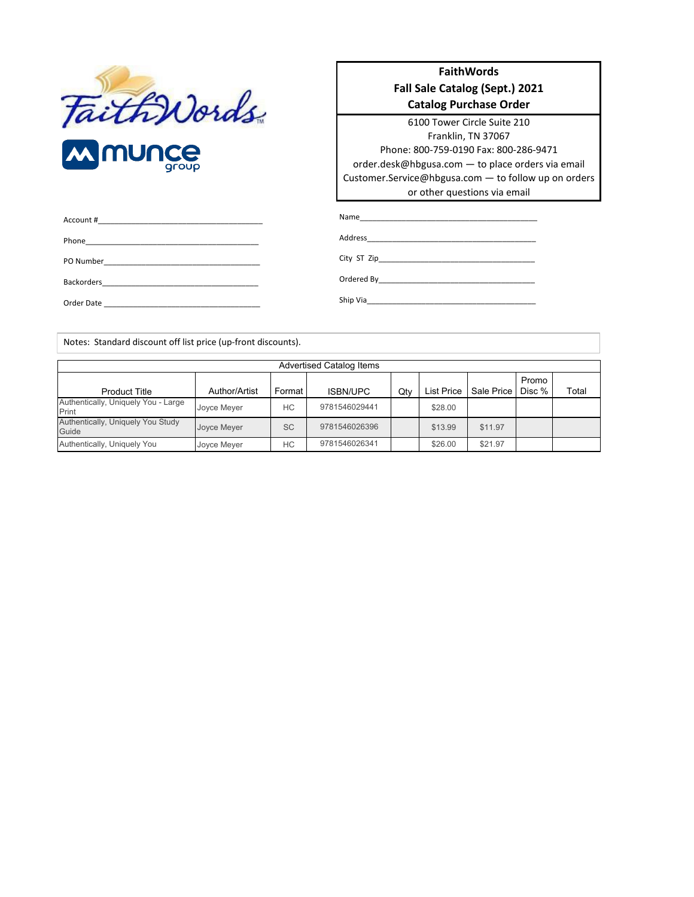

**FaithWords Fall Sale Catalog (Sept.) 2021 Catalog Purchase Order**

6100 Tower Circle Suite 210 Franklin, TN 37067 Phone: 800-759-0190 Fax: 800-286-9471 order.desk@hbgusa.com — to place orders via email Customer.Service@hbgusa.com — to follow up on orders or other questions via email

| Account #<br>the control of the control of the control of the control of the control of the control of the control of the control of the control of the control of the control of the control of the control of the control of the control |          |
|--------------------------------------------------------------------------------------------------------------------------------------------------------------------------------------------------------------------------------------------|----------|
| Phone                                                                                                                                                                                                                                      | Address  |
| PO Number<br><u> 1980 - Jan Barnett, fransk politik (d. 1980)</u>                                                                                                                                                                          |          |
| <b>Backorders</b>                                                                                                                                                                                                                          |          |
| Order Date                                                                                                                                                                                                                                 | Ship Via |

Notes: Standard discount off list price (up-front discounts).

|                                              | <b>Advertised Catalog Items</b> |           |               |     |                   |            |                 |       |
|----------------------------------------------|---------------------------------|-----------|---------------|-----|-------------------|------------|-----------------|-------|
| <b>Product Title</b>                         | Author/Artist                   | Format    | ISBN/UPC      | Qty | <b>List Price</b> | Sale Price | Promo<br>Disc % | Total |
| Authentically, Uniquely You - Large<br>Print | Joyce Meyer                     | HC.       | 9781546029441 |     | \$28.00           |            |                 |       |
| Authentically, Uniquely You Study<br>Guide   | Joyce Meyer                     | <b>SC</b> | 9781546026396 |     | \$13.99           | \$11.97    |                 |       |
| Authentically, Uniquely You                  | Joyce Meyer                     | HC        | 9781546026341 |     | \$26.00           | \$21.97    |                 |       |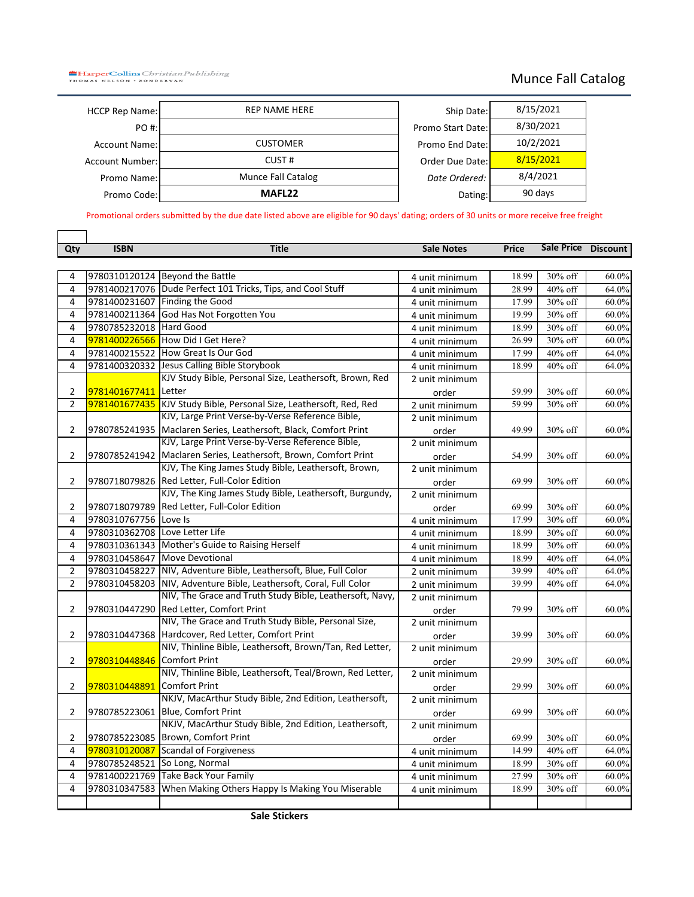**HarperCollins** Christian Publishing<br>THOMAS NELSON . ZONDERVAN

 $\Gamma$ 

┑

### Munce Fall Catalog

| <b>HCCP Rep Name:</b>  | <b>REP NAME HERE</b> | Ship Date:        |
|------------------------|----------------------|-------------------|
| PO #:                  |                      | Promo Start Date: |
| <b>Account Name:</b>   | <b>CUSTOMER</b>      | Promo End Date:   |
| <b>Account Number:</b> | CUST#                | Order Due Date:   |
| Promo Name:            | Munce Fall Catalog   | Date Ordered:     |
| Promo Code:            | MAFL <sub>22</sub>   | Dating:           |
|                        |                      |                   |

| Ship Date:        | 8/15/2021 |
|-------------------|-----------|
| Promo Start Date: | 8/30/2021 |
| Promo End Date:   | 10/2/2021 |
| Order Due Date:   | 8/15/2021 |
| Date Ordered:     | 8/4/2021  |
| Dating:           | 90 days   |

Promotional orders submitted by the due date listed above are eligible for 90 days' dating; orders of 30 units or more receive free freight

| Qty            | <b>ISBN</b>                   | <b>Title</b>                                                       | <b>Sale Notes</b> | Price | Sale Price Discount |          |
|----------------|-------------------------------|--------------------------------------------------------------------|-------------------|-------|---------------------|----------|
|                |                               |                                                                    |                   |       |                     |          |
| 4              |                               | 9780310120124 Beyond the Battle                                    | 4 unit minimum    | 18.99 | 30% off             | 60.0%    |
| 4              |                               | 9781400217076 Dude Perfect 101 Tricks, Tips, and Cool Stuff        | 4 unit minimum    | 28.99 | 40% off             | 64.0%    |
| 4              |                               | 9781400231607 Finding the Good                                     | 4 unit minimum    | 17.99 | 30% off             | 60.0%    |
| 4              |                               | 9781400211364 God Has Not Forgotten You                            | 4 unit minimum    | 19.99 | 30% off             | 60.0%    |
| 4              | 9780785232018                 | <b>Hard Good</b>                                                   | 4 unit minimum    | 18.99 | 30% off             | 60.0%    |
| 4              | 9781400226566                 | How Did I Get Here?                                                | 4 unit minimum    | 26.99 | 30% off             | 60.0%    |
| 4              |                               | 9781400215522 How Great Is Our God                                 | 4 unit minimum    | 17.99 | 40% off             | 64.0%    |
| 4              |                               | 9781400320332 Jesus Calling Bible Storybook                        | 4 unit minimum    | 18.99 | 40% off             | 64.0%    |
|                |                               | KJV Study Bible, Personal Size, Leathersoft, Brown, Red            | 2 unit minimum    |       |                     |          |
| $\overline{2}$ | 9781401677411                 | Letter                                                             | order             | 59.99 | 30% off             | 60.0%    |
| $\overline{2}$ | 9781401677435                 | KJV Study Bible, Personal Size, Leathersoft, Red, Red              | 2 unit minimum    | 59.99 | 30% off             | $60.0\%$ |
|                |                               | KJV, Large Print Verse-by-Verse Reference Bible,                   | 2 unit minimum    |       |                     |          |
| $\overline{2}$ |                               | 9780785241935 Maclaren Series, Leathersoft, Black, Comfort Print   | order             | 49.99 | 30% off             | 60.0%    |
|                |                               | KJV, Large Print Verse-by-Verse Reference Bible,                   | 2 unit minimum    |       |                     |          |
| 2              |                               | 9780785241942 Maclaren Series, Leathersoft, Brown, Comfort Print   | order             | 54.99 | 30% off             | 60.0%    |
|                |                               | KJV, The King James Study Bible, Leathersoft, Brown,               | 2 unit minimum    |       |                     |          |
| $\overline{2}$ |                               | 9780718079826 Red Letter, Full-Color Edition                       | order             | 69.99 | 30% off             | 60.0%    |
|                |                               | KJV, The King James Study Bible, Leathersoft, Burgundy,            | 2 unit minimum    |       |                     |          |
| 2              | 9780718079789                 | Red Letter, Full-Color Edition                                     | order             | 69.99 | 30% off             | 60.0%    |
| 4              | 9780310767756                 | Love Is                                                            | 4 unit minimum    | 17.99 | 30% off             | 60.0%    |
| 4              | 9780310362708                 | Love Letter Life                                                   | 4 unit minimum    | 18.99 | 30% off             | 60.0%    |
| 4              |                               | 9780310361343 Mother's Guide to Raising Herself                    | 4 unit minimum    | 18.99 | 30% off             | 60.0%    |
| 4              |                               | 9780310458647 Move Devotional                                      | 4 unit minimum    | 18.99 | 40% off             | 64.0%    |
| $\overline{2}$ | 9780310458227                 | NIV, Adventure Bible, Leathersoft, Blue, Full Color                | 2 unit minimum    | 39.99 | 40% off             | 64.0%    |
| $\overline{2}$ |                               | 9780310458203 NIV, Adventure Bible, Leathersoft, Coral, Full Color | 2 unit minimum    | 39.99 | 40% off             | 64.0%    |
|                |                               | NIV, The Grace and Truth Study Bible, Leathersoft, Navy,           | 2 unit minimum    |       |                     |          |
| $\overline{2}$ | 9780310447290                 | Red Letter, Comfort Print                                          | order             | 79.99 | 30% off             | 60.0%    |
|                |                               | NIV, The Grace and Truth Study Bible, Personal Size,               | 2 unit minimum    |       |                     |          |
| 2              | 9780310447368                 | Hardcover, Red Letter, Comfort Print                               | order             | 39.99 | 30% off             | $60.0\%$ |
|                |                               | NIV, Thinline Bible, Leathersoft, Brown/Tan, Red Letter,           | 2 unit minimum    |       |                     |          |
| 2              | 9780310448846                 | <b>Comfort Print</b>                                               | order             | 29.99 | 30% off             | 60.0%    |
|                |                               | NIV, Thinline Bible, Leathersoft, Teal/Brown, Red Letter,          | 2 unit minimum    |       |                     |          |
| $\overline{2}$ | 9780310448891                 | <b>Comfort Print</b>                                               | order             | 29.99 | 30% off             | 60.0%    |
|                |                               | NKJV, MacArthur Study Bible, 2nd Edition, Leathersoft,             | 2 unit minimum    |       |                     |          |
| $\overline{2}$ |                               | 9780785223061 Blue, Comfort Print                                  | order             | 69.99 | 30% off             | 60.0%    |
|                |                               | NKJV, MacArthur Study Bible, 2nd Edition, Leathersoft,             | 2 unit minimum    |       |                     |          |
| 2              | 9780785223085                 | Brown, Comfort Print                                               | order             | 69.99 | 30% off             | 60.0%    |
| 4              | 9780310120087                 | <b>Scandal of Forgiveness</b>                                      | 4 unit minimum    | 14.99 | 40% off             | 64.0%    |
| 4              | 9780785248521 So Long, Normal |                                                                    | 4 unit minimum    | 18.99 | 30% off             | 60.0%    |
| 4              | 9781400221769                 | <b>Take Back Your Family</b>                                       | 4 unit minimum    | 27.99 | 30% off             | 60.0%    |
| 4              | 9780310347583                 | When Making Others Happy Is Making You Miserable                   | 4 unit minimum    | 18.99 | 30% off             | 60.0%    |
|                |                               |                                                                    |                   |       |                     |          |
|                |                               |                                                                    |                   |       |                     |          |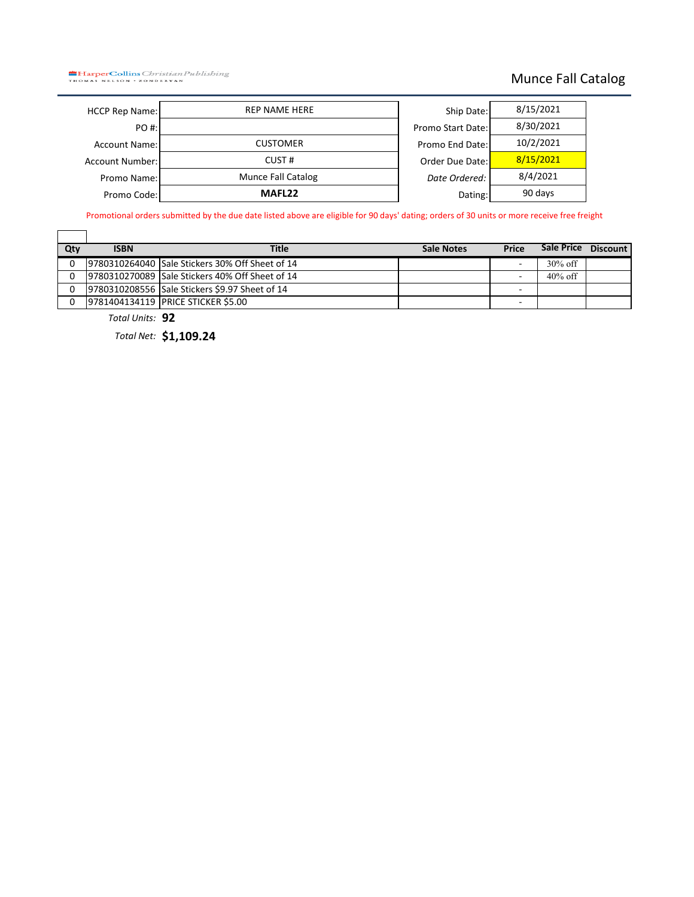**HarperCollins** Christian Publishing

### Munce Fall Catalog

| <b>HCCP Rep Name:</b>  | <b>REP NAME HERE</b>      | Ship Date:        |
|------------------------|---------------------------|-------------------|
| PO #:                  |                           | Promo Start Date: |
| <b>Account Name:</b>   | <b>CUSTOMER</b>           | Promo End Date:   |
| <b>Account Number:</b> | CUST#                     | Order Due Date:   |
| Promo Name:            | <b>Munce Fall Catalog</b> | Date Ordered:     |
| Promo Code:            | MAFL <sub>22</sub>        | Dating:           |
|                        |                           |                   |

| Ship Date:        | 8/15/2021 |
|-------------------|-----------|
| Promo Start Date: | 8/30/2021 |
| Promo End Date:   | 10/2/2021 |
| Order Due Date:   | 8/15/2021 |
| Date Ordered:     | 8/4/2021  |
| Dating:           | 90 days   |

Promotional orders submitted by the due date listed above are eligible for 90 days' dating; orders of 30 units or more receive free freight

| Qty      | <b>ISBN</b> | <b>Title</b>                                    | Sale Notes | <b>Price</b>             | Sale Price | <b>Discount</b> |
|----------|-------------|-------------------------------------------------|------------|--------------------------|------------|-----------------|
| $\Omega$ |             | 9780310264040 Sale Stickers 30% Off Sheet of 14 |            | -                        | $30\%$ off |                 |
| $\Omega$ |             | 9780310270089 Sale Stickers 40% Off Sheet of 14 |            | $\overline{\phantom{a}}$ | $40\%$ off |                 |
| $\Omega$ |             | 9780310208556 Sale Stickers \$9.97 Sheet of 14  |            | -                        |            |                 |
| $\Omega$ |             | 9781404134119 PRICE STICKER \$5.00              |            | -                        |            |                 |

*Total Units:* **92**

*Total Net:* **\$1,109.24**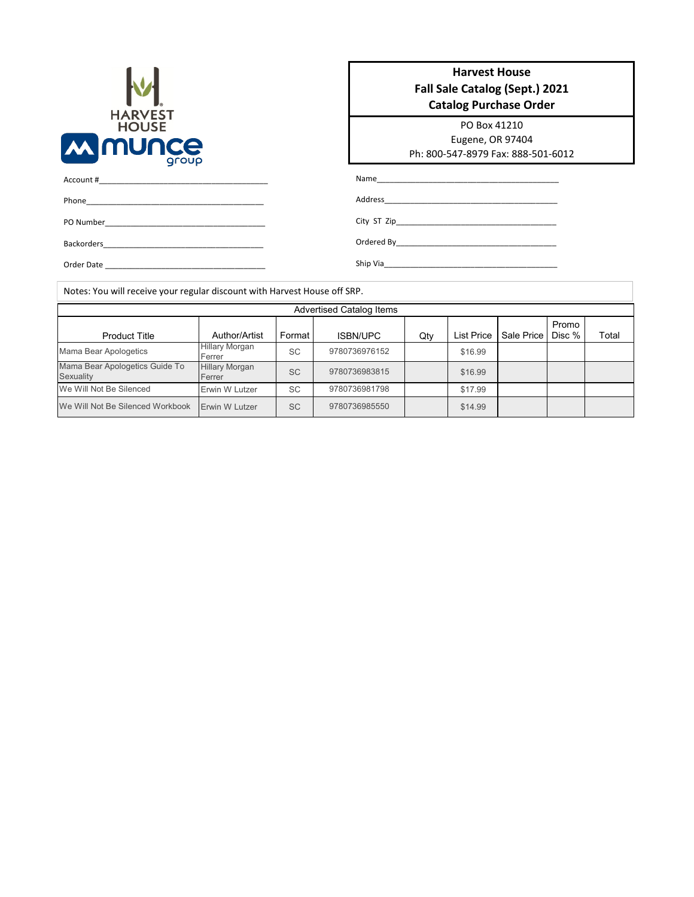

PO Number\_\_\_\_\_\_\_\_\_\_\_\_\_\_\_\_\_\_\_\_\_\_\_\_\_\_\_\_\_\_\_\_\_\_\_\_\_

Backorders\_\_\_\_\_\_\_\_\_\_\_\_\_\_\_\_\_\_\_\_\_\_\_\_\_\_\_\_\_\_\_\_\_\_\_\_\_ Order Date \_\_\_\_\_\_\_\_\_\_\_\_\_\_\_\_\_\_\_\_\_\_\_\_\_\_\_\_\_\_\_\_\_\_\_\_\_

Account #\_\_\_\_\_\_\_\_\_\_\_\_\_\_\_\_\_\_\_\_\_\_\_\_\_\_\_\_\_\_\_\_\_\_\_\_\_\_\_ Phone\_

| <b>Harvest House</b><br><b>Fall Sale Catalog (Sept.) 2021</b> |                                                                                                                                                                                                                                |  |  |  |  |  |
|---------------------------------------------------------------|--------------------------------------------------------------------------------------------------------------------------------------------------------------------------------------------------------------------------------|--|--|--|--|--|
|                                                               | <b>Catalog Purchase Order</b>                                                                                                                                                                                                  |  |  |  |  |  |
|                                                               | PO Box 41210                                                                                                                                                                                                                   |  |  |  |  |  |
|                                                               | Eugene, OR 97404                                                                                                                                                                                                               |  |  |  |  |  |
|                                                               | Ph: 800-547-8979 Fax: 888-501-6012                                                                                                                                                                                             |  |  |  |  |  |
|                                                               | Name and the contract of the contract of the contract of the contract of the contract of the contract of the contract of the contract of the contract of the contract of the contract of the contract of the contract of the c |  |  |  |  |  |
|                                                               |                                                                                                                                                                                                                                |  |  |  |  |  |
|                                                               | City ST Zip                                                                                                                                                                                                                    |  |  |  |  |  |
|                                                               |                                                                                                                                                                                                                                |  |  |  |  |  |

Notes: You will receive your regular discount with Harvest House off SRP.

| <b>Advertised Catalog Items</b>             |                                 |           |                 |     |                   |            |                 |       |  |
|---------------------------------------------|---------------------------------|-----------|-----------------|-----|-------------------|------------|-----------------|-------|--|
| <b>Product Title</b>                        | Author/Artist                   | Format    | <b>ISBN/UPC</b> | Qty | <b>List Price</b> | Sale Price | Promo<br>Disc % | Total |  |
| Mama Bear Apologetics                       | <b>Hillary Morgan</b><br>Ferrer | <b>SC</b> | 9780736976152   |     | \$16.99           |            |                 |       |  |
| Mama Bear Apologetics Guide To<br>Sexuality | <b>Hillary Morgan</b><br>Ferrer | <b>SC</b> | 9780736983815   |     | \$16.99           |            |                 |       |  |
| We Will Not Be Silenced                     | Erwin W Lutzer                  | <b>SC</b> | 9780736981798   |     | \$17.99           |            |                 |       |  |
| We Will Not Be Silenced Workbook            | <b>Erwin W Lutzer</b>           | <b>SC</b> | 9780736985550   |     | \$14.99           |            |                 |       |  |

Ship Via\_\_\_\_\_\_\_\_\_\_\_\_\_\_\_\_\_\_\_\_\_\_\_\_\_\_\_\_\_\_\_\_\_\_\_\_\_\_\_\_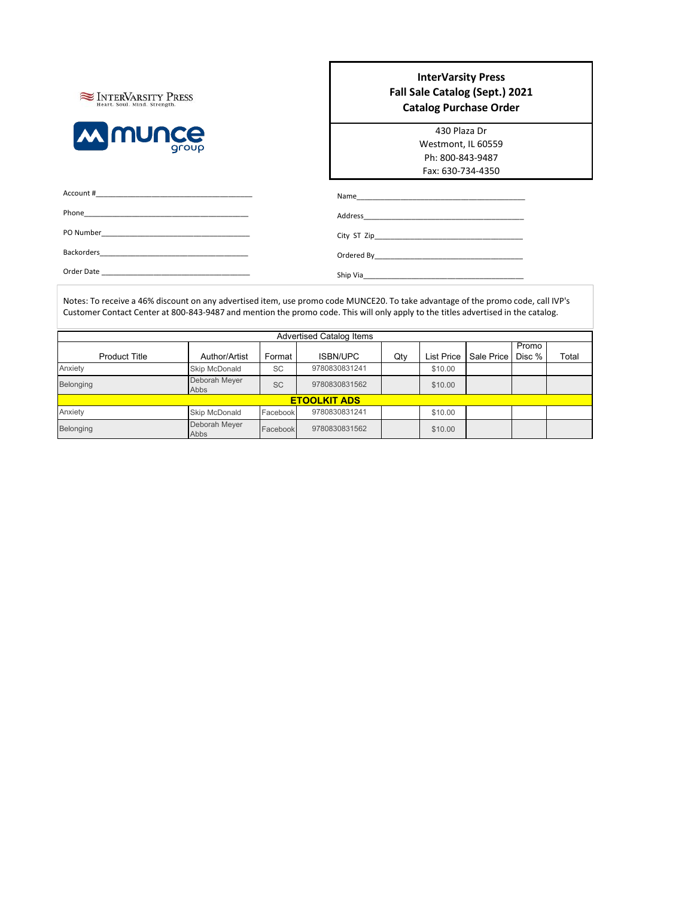

#### **InterVarsity Press Fall Sale Catalog (Sept.) 2021 Catalog Purchase Order**

| 430 Plaza Dr       |  |  |  |  |  |  |
|--------------------|--|--|--|--|--|--|
| Westmont, IL 60559 |  |  |  |  |  |  |
| Ph: 800-843-9487   |  |  |  |  |  |  |
| Fax: 630-734-4350  |  |  |  |  |  |  |

| Account #  | Name<br><u> 1980 - Jan Barbara, manazarta maskani da ya katika matsayin da ya katika maska maska maska maska maska maska </u> |
|------------|-------------------------------------------------------------------------------------------------------------------------------|
| Phone      |                                                                                                                               |
|            |                                                                                                                               |
|            |                                                                                                                               |
| Order Date |                                                                                                                               |

Notes: To receive a 46% discount on any advertised item, use promo code MUNCE20. To take advantage of the promo code, call IVP's Customer Contact Center at 800-843-9487 and mention the promo code. This will only apply to the titles advertised in the catalog.

|                      |                       |           | <b>Advertised Catalog Items</b> |     |                   |            |        |       |
|----------------------|-----------------------|-----------|---------------------------------|-----|-------------------|------------|--------|-------|
|                      |                       |           |                                 |     |                   |            | Promo  |       |
| <b>Product Title</b> | Author/Artist         | Format    | <b>ISBN/UPC</b>                 | Qty | <b>List Price</b> | Sale Price | Disc % | Total |
| Anxiety              | Skip McDonald         | <b>SC</b> | 9780830831241                   |     | \$10.00           |            |        |       |
| Belonging            | Deborah Meyer<br>Abbs | <b>SC</b> | 9780830831562                   |     | \$10.00           |            |        |       |
| <b>ETOOLKIT ADS</b>  |                       |           |                                 |     |                   |            |        |       |
| Anxiety              | Skip McDonald         | Facebook  | 9780830831241                   |     | \$10.00           |            |        |       |
| Belonging            | Deborah Meyer<br>Abbs | Facebook  | 9780830831562                   |     | \$10.00           |            |        |       |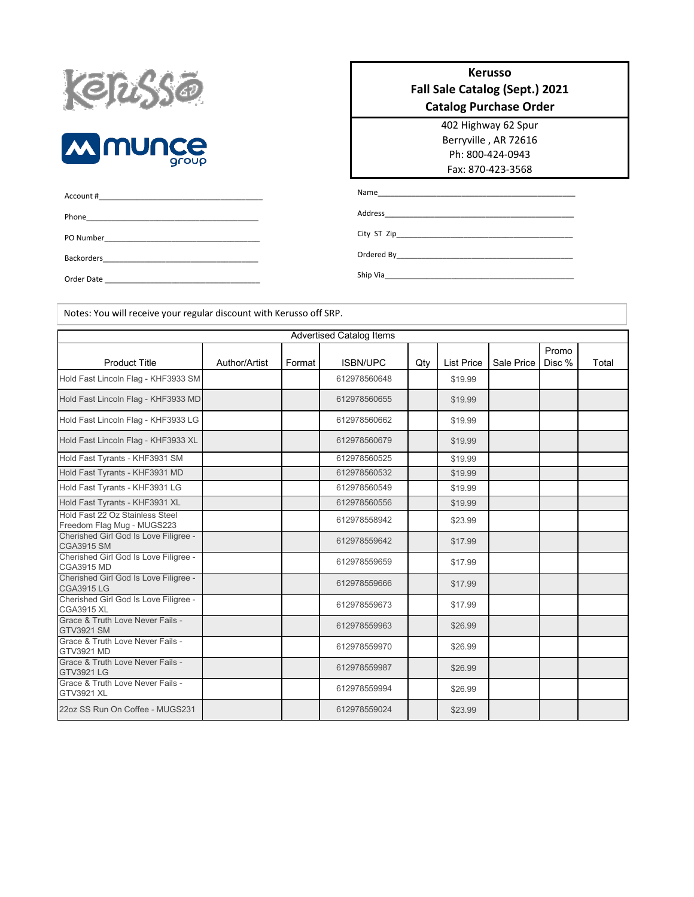



| Account # |
|-----------|
|           |
|           |
|           |
| - - - -   |

Notes: You will receive your regular discount with Kerusso off SRP.

### 402 Highway 62 Spur **Kerusso Fall Sale Catalog (Sept.) 2021 Catalog Purchase Order**

Berryville , AR 72616 Ph: 800-424-0943 Fax: 870-423-3568

Name\_\_\_\_\_\_\_\_\_\_\_\_\_\_\_\_\_\_\_\_\_\_\_\_\_\_\_\_\_\_\_\_\_\_\_\_\_\_\_\_\_\_\_\_\_\_\_

Address\_\_\_\_\_\_\_\_\_\_\_\_\_\_\_\_\_\_\_\_\_\_\_\_\_\_\_\_\_\_\_\_\_\_\_\_\_\_\_\_\_\_\_\_\_

City ST Zip\_\_\_\_\_

Ordered By\_ Ship Via\_

Order Date

Product Title **Author/Artist | Format | ISBN/UPC | Qty | List Price | Sale Price** Promo Disc % | Total \$19.99 \$19.99 \$19.99 \$19.99 \$19.99 \$19.99 \$19.99 \$19.99 \$23.99 \$17.99 \$17.99 \$17.99 \$17.99 \$26.99 \$26.99 \$26.99 \$26.99 \$23.99 Advertised Catalog Items ISBN/UPC Hold Fast Lincoln Flag - KHF3933 SM 612978560648 Hold Fast Lincoln Flag - KHF3933 MD 612978560655 Hold Fast Lincoln Flag - KHF3933 LG **CHANGE 100 CM 12011 12011 12012** 612978560662 Hold Fast Lincoln Flag - KHF3933 XL 612978560679 Hold Fast Tyrants - KHF3931 SM 612978560525 Hold Fast Tyrants - KHF3931 MD Hold Fast Tyrants - KHF3931 LG 612978560549 Hold Fast Tyrants - KHF3931 XL 612978560556 Hold Fast 22 Oz Stainless Steel Hold Fast 22 OZ Staliness Steel<br>Freedom Flag Mug - MUGS223 612978558942 Cherished Girl God Is Love Filigree - North States (19978559642)<br>CGA3915 SM Cherished Girl God Is Love Filigree - CGA3915 MD<br>CGA3915 MD Cherished Girl God Is Love Filigree - CGA3915 LG <sup>612978559666</sup> Cherished Girl God Is Love Filigree - Chenshed Gill God is Love Filigree -<br>CGA3915 XL Grace & Truth Love Never Fails - GTV3921 SM 612978559963 Grace & Truth Love Never Fails - GTV3921 MD<br>GTV3921 MD Grace & Truth Love Never Fails - GTV3921 LG<br>GTV3921 LG 612978559987 Grace & Truth Love Never Fails - GTV3921 XL<br>GTV3921 XL 22oz SS Run On Coffee - MUGS231 **612978559024** 612978559024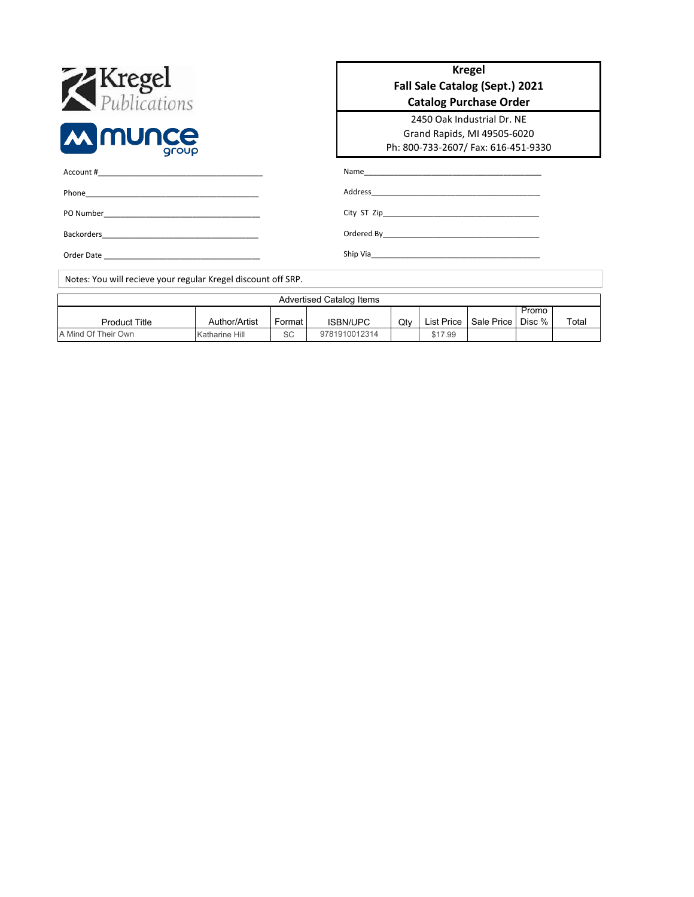| <b>X</b><br><b><i>Publications</i></b>                        |                | <b>Kregel</b><br>Fall Sale Catalog (Sept.) 2021<br><b>Catalog Purchase Order</b>                 |                                 |        |                   |            |                 |       |
|---------------------------------------------------------------|----------------|--------------------------------------------------------------------------------------------------|---------------------------------|--------|-------------------|------------|-----------------|-------|
| <b>M</b> MUNCE<br>aroup                                       |                | 2450 Oak Industrial Dr. NE<br>Grand Rapids, MI 49505-6020<br>Ph: 800-733-2607/ Fax: 616-451-9330 |                                 |        |                   |            |                 |       |
| Account #                                                     |                |                                                                                                  |                                 |        |                   |            |                 |       |
|                                                               |                |                                                                                                  |                                 |        |                   |            |                 |       |
|                                                               |                |                                                                                                  |                                 |        |                   |            |                 |       |
|                                                               |                |                                                                                                  |                                 |        |                   |            |                 |       |
| Order Date                                                    |                |                                                                                                  |                                 |        |                   |            |                 |       |
| Notes: You will recieve your regular Kregel discount off SRP. |                |                                                                                                  |                                 |        |                   |            |                 |       |
|                                                               |                |                                                                                                  | <b>Advertised Catalog Items</b> |        |                   |            |                 |       |
| <b>Product Title</b>                                          | Author/Artist  | Format I                                                                                         | <b>ISBN/UPC</b>                 | $Q$ ty | <b>List Price</b> | Sale Price | Promo<br>Disc % | Total |
| A Mind Of Their Own                                           | Katharine Hill | <b>SC</b>                                                                                        | 9781910012314                   |        | \$17.99           |            |                 |       |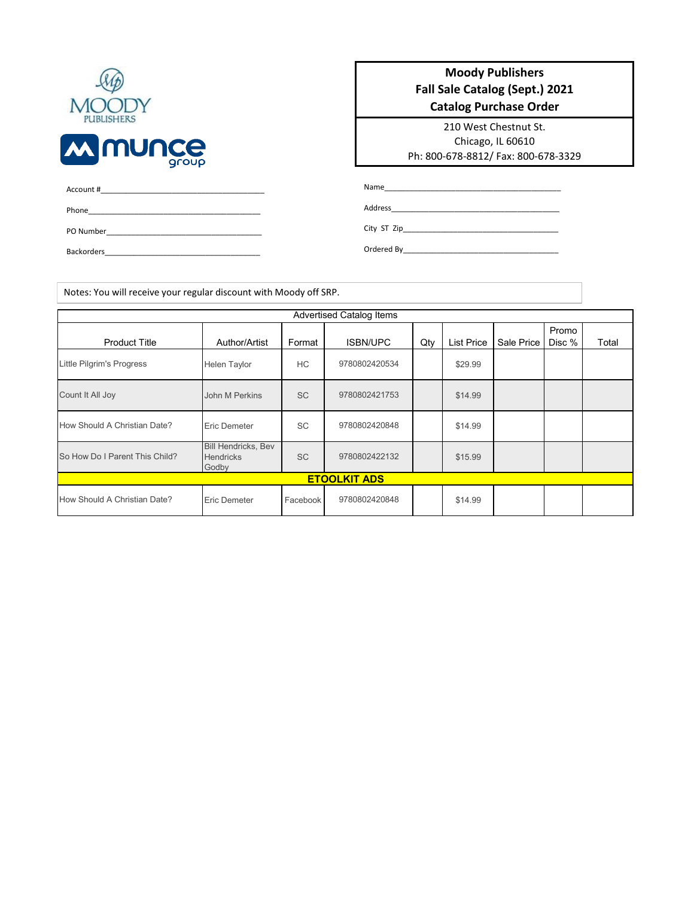| Account # |  |  |  |
|-----------|--|--|--|
| Phone     |  |  |  |
| PO Number |  |  |  |

Backorders\_

#### **Moody Publishers Fall Sale Catalog (Sept.) 2021 Catalog Purchase Order**

210 West Chestnut St. Chicago, IL 60610 Ph: 800-678-8812/ Fax: 800-678-3329

Name\_\_\_\_\_\_\_\_\_\_\_\_\_\_\_\_\_\_\_\_\_\_\_\_\_\_\_\_\_\_\_\_\_\_\_\_\_\_\_\_\_\_

Address\_\_\_\_\_\_\_\_\_\_\_\_\_\_\_\_\_\_\_\_\_\_\_\_\_\_\_\_\_\_\_\_\_\_\_\_\_\_\_\_

City ST Zip\_\_\_\_\_\_\_\_\_\_\_\_\_\_\_\_\_\_\_\_\_\_\_\_\_\_\_\_\_\_\_\_\_\_\_\_\_

Ordered By\_\_\_\_\_\_\_\_\_\_\_\_\_\_\_\_\_\_\_\_\_\_\_\_\_\_\_\_\_\_\_\_\_\_\_\_\_

Notes: You will receive your regular discount with Moody off SRP.

| <b>Advertised Catalog Items</b> |                                                         |           |                 |     |                   |            |                 |       |
|---------------------------------|---------------------------------------------------------|-----------|-----------------|-----|-------------------|------------|-----------------|-------|
| <b>Product Title</b>            | Author/Artist                                           | Format    | <b>ISBN/UPC</b> | Qty | <b>List Price</b> | Sale Price | Promo<br>Disc % | Total |
| Little Pilgrim's Progress       | <b>Helen Taylor</b>                                     | <b>HC</b> | 9780802420534   |     | \$29.99           |            |                 |       |
| Count It All Joy                | John M Perkins                                          | <b>SC</b> | 9780802421753   |     | \$14.99           |            |                 |       |
| How Should A Christian Date?    | Eric Demeter                                            | <b>SC</b> | 9780802420848   |     | \$14.99           |            |                 |       |
| So How Do I Parent This Child?  | <b>Bill Hendricks, Bev</b><br><b>Hendricks</b><br>Godby | <b>SC</b> | 9780802422132   |     | \$15.99           |            |                 |       |
| <b>ETOOLKIT ADS</b>             |                                                         |           |                 |     |                   |            |                 |       |
| How Should A Christian Date?    | <b>Eric Demeter</b>                                     | Facebook  | 9780802420848   |     | \$14.99           |            |                 |       |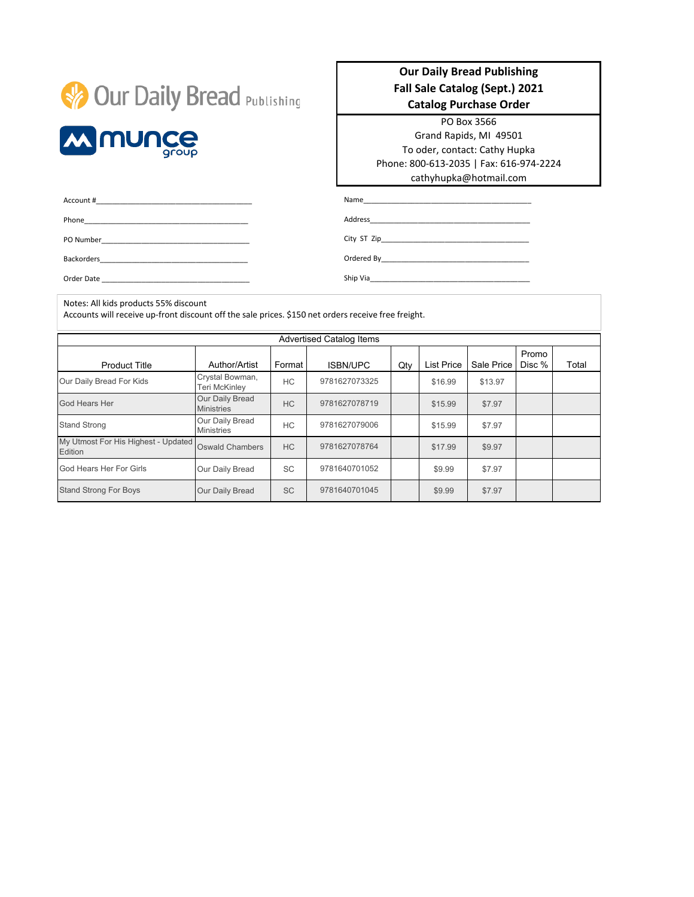|  |  |  | <b>Our Daily Bread Publishing</b> |  |
|--|--|--|-----------------------------------|--|
|--|--|--|-----------------------------------|--|



Phone\_\_\_\_\_\_\_\_\_\_\_\_\_\_\_\_\_\_\_\_\_\_\_\_\_\_\_\_\_\_\_\_\_\_\_\_\_\_\_\_\_ PO Number

Order Date

Account #\_\_\_\_\_\_\_\_\_\_\_\_\_\_\_\_\_\_\_\_\_\_\_\_\_\_\_\_\_\_\_\_\_\_\_\_\_\_\_

Backorders\_\_\_\_\_\_\_\_\_\_\_\_\_\_\_\_\_\_\_\_\_\_\_\_\_\_\_\_\_\_\_\_\_\_\_\_\_

#### **Our Daily Bread Publishing Fall Sale Catalog (Sept.) 2021 Catalog Purchase Order**

PO Box 3566

Grand Rapids, MI 49501 To oder, contact: Cathy Hupka Phone: 800-613-2035 | Fax: 616-974-2224 cathyhupka@hotmail.com

Name\_\_\_\_\_\_\_\_\_\_\_\_\_\_\_\_\_\_\_\_\_\_\_\_\_\_\_\_\_\_\_\_\_\_\_\_\_\_\_\_\_\_

Address\_

City ST Zip\_\_\_\_\_\_\_\_\_\_\_\_\_\_\_\_\_\_\_\_\_\_\_\_\_\_\_\_\_\_\_\_\_\_\_\_\_

Ordered By\_\_\_\_\_\_\_\_\_\_\_\_\_\_\_\_\_\_\_\_\_\_\_\_\_\_\_\_\_\_\_\_\_\_\_\_\_

Ship Via\_\_\_\_\_

Notes: All kids products 55% discount

Accounts will receive up-front discount off the sale prices. \$150 net orders receive free freight.

| <b>Advertised Catalog Items</b>                       |                                                   |           |               |  |                   |            |                 |       |  |
|-------------------------------------------------------|---------------------------------------------------|-----------|---------------|--|-------------------|------------|-----------------|-------|--|
| <b>Product Title</b>                                  | Format<br>Author/Artist<br>Qty<br><b>ISBN/UPC</b> |           |               |  | <b>List Price</b> | Sale Price | Promo<br>Disc % | Total |  |
| Our Daily Bread For Kids                              | Crystal Bowman,<br>Teri McKinley                  | HC.       | 9781627073325 |  | \$16.99           | \$13.97    |                 |       |  |
| God Hears Her                                         | Our Daily Bread<br><b>Ministries</b>              | HC.       | 9781627078719 |  | \$15.99           | \$7.97     |                 |       |  |
| <b>Stand Strong</b>                                   | Our Daily Bread<br><b>Ministries</b>              | HC.       | 9781627079006 |  | \$15.99           | \$7.97     |                 |       |  |
| My Utmost For His Highest - Updated<br><b>Edition</b> | Oswald Chambers                                   | HC        | 9781627078764 |  | \$17.99           | \$9.97     |                 |       |  |
| God Hears Her For Girls                               | Our Daily Bread                                   | SC        | 9781640701052 |  | \$9.99            | \$7.97     |                 |       |  |
| <b>Stand Strong For Boys</b>                          | Our Daily Bread                                   | <b>SC</b> | 9781640701045 |  | \$9.99            | \$7.97     |                 |       |  |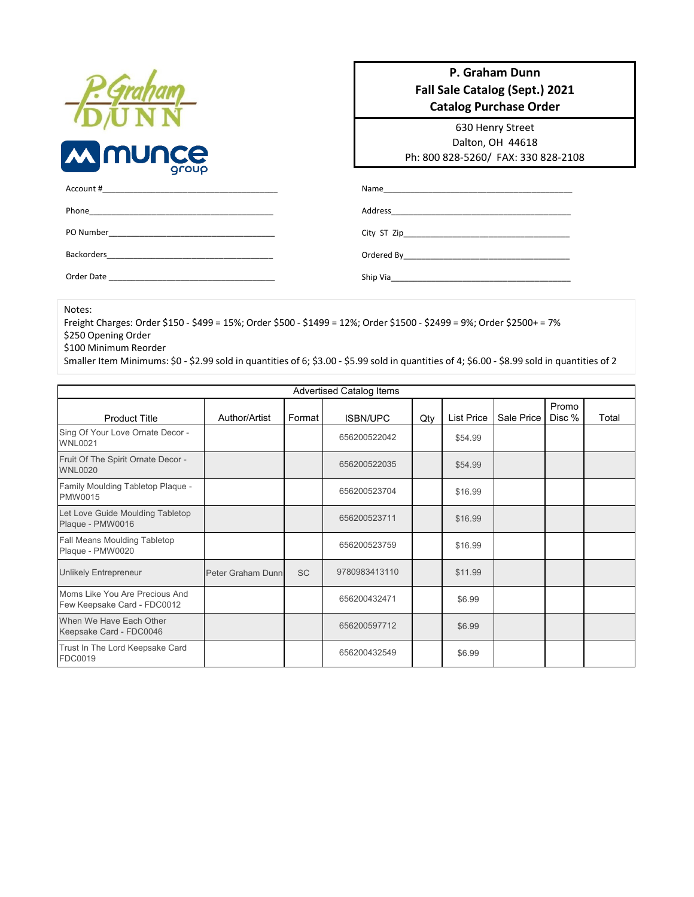| <b>M</b> munce | roup |
|----------------|------|

#### **P. Graham Dunn Fall Sale Catalog (Sept.) 2021 Catalog Purchase Order**

630 Henry Street Dalton, OH 44618 Ph: 800 828-5260/ FAX: 330 828-2108

| Account #                                                                                               |          |
|---------------------------------------------------------------------------------------------------------|----------|
|                                                                                                         |          |
|                                                                                                         |          |
| Backorders<br>the control of the control of the control of the control of the control of the control of |          |
| Order Date                                                                                              | Ship Via |

Notes:

Freight Charges: Order \$150 - \$499 = 15%; Order \$500 - \$1499 = 12%; Order \$1500 - \$2499 = 9%; Order \$2500+ = 7% \$250 Opening Order

\$100 Minimum Reorder

Smaller Item Minimums: \$0 - \$2.99 sold in quantities of 6; \$3.00 - \$5.99 sold in quantities of 4; \$6.00 - \$8.99 sold in quantities of 2

| <b>Advertised Catalog Items</b>                               |                   |           |                 |     |                                 |  |                 |       |  |
|---------------------------------------------------------------|-------------------|-----------|-----------------|-----|---------------------------------|--|-----------------|-------|--|
| <b>Product Title</b>                                          | Author/Artist     | Format    | <b>ISBN/UPC</b> | Qty | <b>List Price</b><br>Sale Price |  | Promo<br>Disc % | Total |  |
| Sing Of Your Love Ornate Decor -<br><b>WNL0021</b>            |                   |           | 656200522042    |     | \$54.99                         |  |                 |       |  |
| Fruit Of The Spirit Ornate Decor -<br><b>WNL0020</b>          |                   |           | 656200522035    |     | \$54.99                         |  |                 |       |  |
| Family Moulding Tabletop Plaque -<br>PMW0015                  |                   |           | 656200523704    |     | \$16.99                         |  |                 |       |  |
| Let Love Guide Moulding Tabletop<br>Plaque - PMW0016          |                   |           | 656200523711    |     | \$16.99                         |  |                 |       |  |
| Fall Means Moulding Tabletop<br>Plaque - PMW0020              |                   |           | 656200523759    |     | \$16.99                         |  |                 |       |  |
| <b>Unlikely Entrepreneur</b>                                  | Peter Graham Dunn | <b>SC</b> | 9780983413110   |     | \$11.99                         |  |                 |       |  |
| Moms Like You Are Precious And<br>Few Keepsake Card - FDC0012 |                   |           | 656200432471    |     | \$6.99                          |  |                 |       |  |
| When We Have Each Other<br>Keepsake Card - FDC0046            |                   |           | 656200597712    |     | \$6.99                          |  |                 |       |  |
| Trust In The Lord Keepsake Card<br>FDC0019                    |                   |           | 656200432549    |     | \$6.99                          |  |                 |       |  |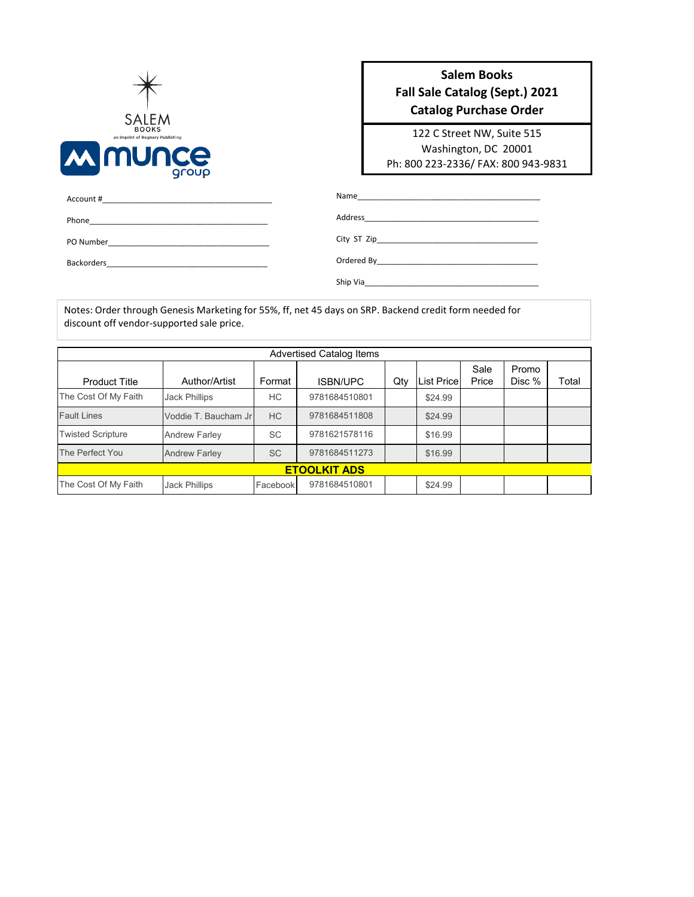

## **Salem Books Fall Sale Catalog (Sept.) 2021 Catalog Purchase Order**

122 C Street NW, Suite 515 Washington, DC 20001 Ph: 800 223-2336/ FAX: 800 943-9831

| Phone<br>the control of the control of the control of the control of the control of the control of                                                                                                                                                |  |
|---------------------------------------------------------------------------------------------------------------------------------------------------------------------------------------------------------------------------------------------------|--|
| PO Number<br><u> 1980 - Jan Berlin, mars and de finland and de finland and de finland and de finland and de finland and de finland and de finland and de finland and de finland and de finland and de finland and de finland and de finland a</u> |  |
| Backorders<br><u> 1989 - Andrea State Barbara, martin a shekara 1980 - Andrea State Barbara (h. 1981).</u>                                                                                                                                        |  |
|                                                                                                                                                                                                                                                   |  |

Notes: Order through Genesis Marketing for 55%, ff, net 45 days on SRP. Backend credit form needed for discount off vendor-supported sale price.

| Advertised Catalog Items |                      |           |                 |     |                   |               |                 |       |  |
|--------------------------|----------------------|-----------|-----------------|-----|-------------------|---------------|-----------------|-------|--|
| <b>Product Title</b>     | Author/Artist        | Format    | <b>ISBN/UPC</b> | Qty | <b>List Price</b> | Sale<br>Price | Promo<br>Disc % | Total |  |
| The Cost Of My Faith     | <b>Jack Phillips</b> | НC        | 9781684510801   |     | \$24.99           |               |                 |       |  |
| <b>Fault Lines</b>       | Voddie T. Baucham Jr | <b>HC</b> | 9781684511808   |     | \$24.99           |               |                 |       |  |
| <b>Twisted Scripture</b> | <b>Andrew Farley</b> | <b>SC</b> | 9781621578116   |     | \$16.99           |               |                 |       |  |
| The Perfect You          | <b>Andrew Farley</b> | <b>SC</b> | 9781684511273   |     | \$16.99           |               |                 |       |  |
| <b>ETOOLKIT ADS</b>      |                      |           |                 |     |                   |               |                 |       |  |
| The Cost Of My Faith     | <b>Jack Phillips</b> | Facebook  | 9781684510801   |     | \$24.99           |               |                 |       |  |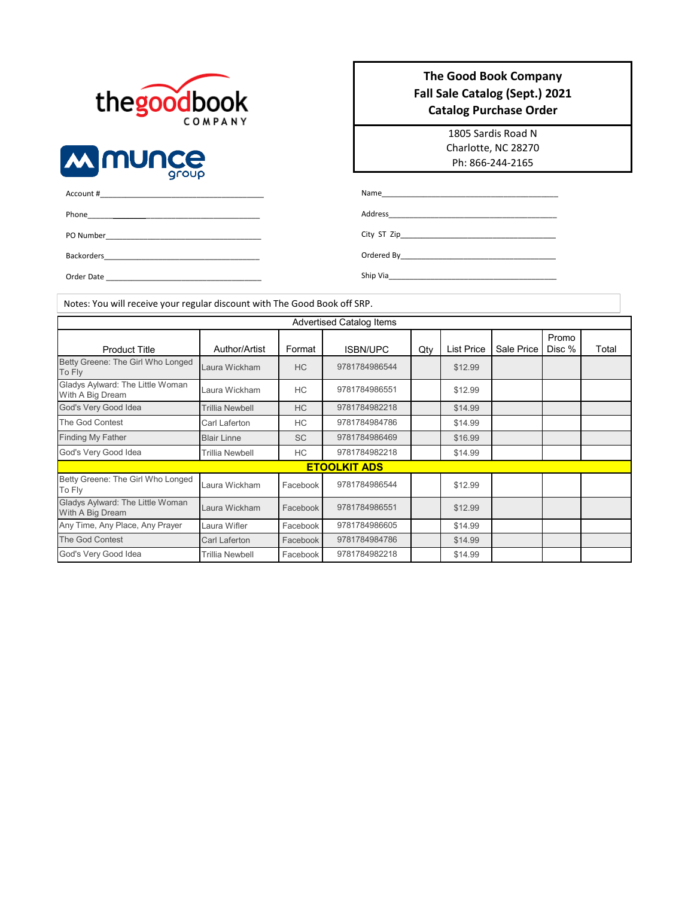



| <b>The Good Book Company</b>   |
|--------------------------------|
| Fall Sale Catalog (Sept.) 2021 |
| <b>Catalog Purchase Order</b>  |

1805 Sardis Road N Charlotte, NC 28270 Ph: 866-244-2165

| Account # |  |  |
|-----------|--|--|
| Phone     |  |  |
| PO Number |  |  |

Backorders\_

Order Date

Address\_

City ST Zip\_\_\_\_\_

Ordered By\_\_\_\_\_\_\_\_\_\_\_\_\_\_\_\_\_\_\_\_\_\_\_\_\_\_\_\_\_\_\_\_\_\_\_\_\_ Ship Via\_

 $Name_\_$ 

Notes: You will receive your regular discount with The Good Book off SRP.

#### Author/Artist | Format | ISBN/UPC | Qty | List Price | Sale Price Promo Disc % | Total Example of the Sun Wickham HC 3781784986544 \$12.99 Laura Wickham HC \$12.99 Trillia Newbell HC 9781784982218 \$14.99 Carl Laferton HC 9781784984786 \$14.99 Blair Linne SC \$16.99 Trillia Newbell (and HC  $=$  9781784982218 (and  $\frac{1}{314.99}$ Laura Wickham Facebook \$12.99 Laura Wickham Facebook \$12.99 Laura Wifler Facebook \$14.99 Carl Laferton Facebook \$14.99 Trillia Newbell Facebook \$14.99 Advertised Catalog Items Product Title Betty Greene: The Girl Who Longed Gladys Aylward: The Little Woman With A Big Dream Finding My Father Betty Greene: The Girl Who Longed Laura Wickham Facebook 9781784986544 God's Very Good Idea The God Contest God's Very Good Idea God's Very Good Idea The God Contest **ETOOLKIT ADS** Any Time, Any Place, Any Prayer Gladys Aylward: The Little Woman With A Big Dream